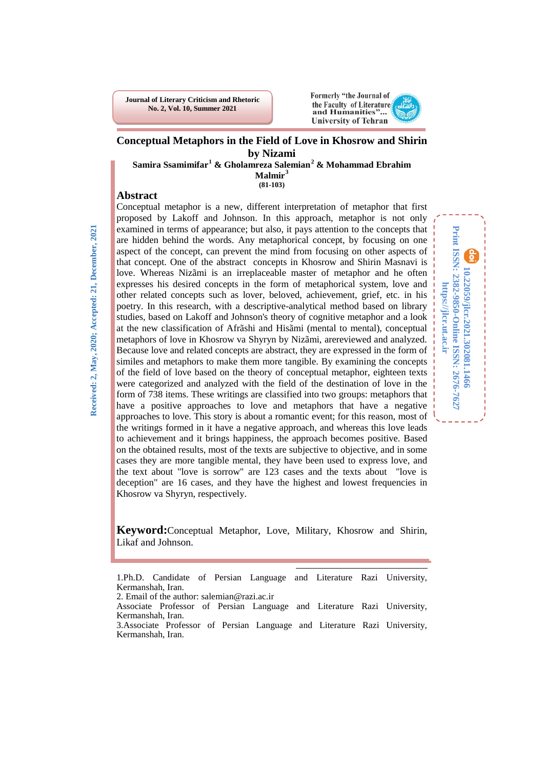**Journal of Literary Criticism and Rhetoric No. 2, Vol. 10, Summer 2021**



**10.22059/jlcr.2021.302081.1466 Print ISSN: 2382-9850-Online ISSN: 2676-7627 https://jlcr.ut.ac.ir**

Print ISSN: 2382-9850-Online ISSN: 2676-7627 10.22059/jlcr.2021.302081.1466

https://jlcr.ut.ac.ir

### **Conceptual Metaphors in the Field of Love in Khosrow and Shirin by Nizami**

**Samira Ssamimifar[1](#page-0-0) & Gholamreza Salemian[2](#page-0-1) & Mohammad Ebrahim**

**Malmir[3](#page-0-2) (81-103)**

### **Abstract**

**Received: 2, May, 2020; Accepted: 21, December, 2021**Received: 2, May, 2020; Accepted: 21, December, 2021

Conceptual metaphor is a new, different interpretation of metaphor that first proposed by Lakoff and Johnson. In this approach, metaphor is not only examined in terms of appearance; but also, it pays attention to the concepts that are hidden behind the words. Any metaphorical concept, by focusing on one aspect of the concept, can prevent the mind from focusing on other aspects of that concept. One of the abstract concepts in Khosrow and Shirin Masnavi is love. Whereas Nizãmi is an irreplaceable master of metaphor and he often expresses his desired concepts in the form of metaphorical system, love and other related concepts such as lover, beloved, achievement, grief, etc. in his poetry. In this research, with a descriptive-analytical method based on library studies, based on Lakoff and Johnson's theory of cognitive metaphor and a look at the new classification of Afrãshi and Hisãmi (mental to mental), conceptual metaphors of love in Khosrow va Shyryn by Nizãmi, arereviewed and analyzed. Because love and related concepts are abstract, they are expressed in the form of similes and metaphors to make them more tangible. By examining the concepts of the field of love based on the theory of conceptual metaphor, eighteen texts were categorized and analyzed with the field of the destination of love in the form of 738 items. These writings are classified into two groups: metaphors that have a positive approaches to love and metaphors that have a negative approaches to love. This story is about a romantic event; for this reason, most of the writings formed in it have a negative approach, and whereas this love leads to achievement and it brings happiness, the approach becomes positive. Based on the obtained results, most of the texts are subjective to objective, and in some cases they are more tangible mental, they have been used to express love, and the text about "love is sorrow" are 123 cases and the texts about "love is deception" are 16 cases, and they have the highest and lowest frequencies in Khosrow va Shyryn, respectively.

**Keyword:**Conceptual Metaphor, Love, Military, Khosrow and Shirin, Likaf and Johnson.

<span id="page-0-0"></span>l 1.Ph.D. Candidate of Persian Language and Literature Razi University, Kermanshah, Iran.

<span id="page-0-1"></span>2. Email of the author: salemian@razi.ac.ir

Associate Professor of Persian Language and Literature Razi University, Kermanshah, Iran.

<span id="page-0-2"></span><sup>3.</sup>Associate Professor of Persian Language and Literature Razi University, Kermanshah, Iran.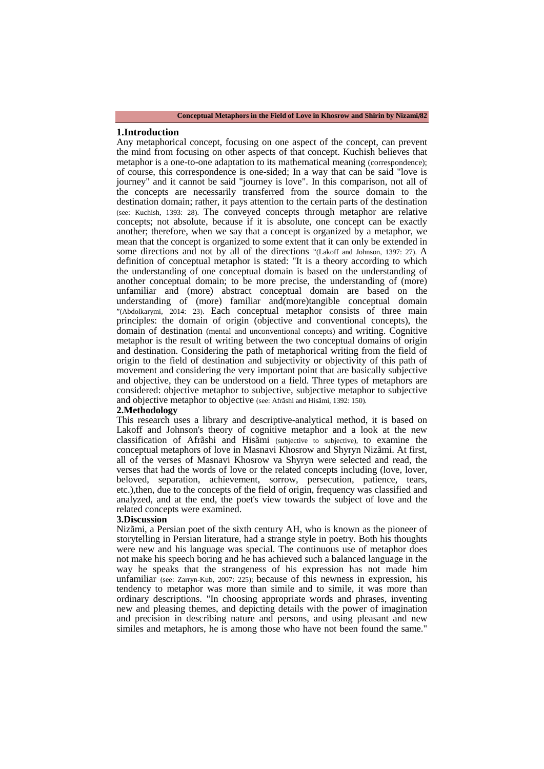#### **1.Introduction**

Any metaphorical concept, focusing on one aspect of the concept, can prevent the mind from focusing on other aspects of that concept. Kuchish believes that metaphor is a one-to-one adaptation to its mathematical meaning (correspondence); of course, this correspondence is one-sided; In a way that can be said "love is journey" and it cannot be said "journey is love". In this comparison, not all of the concepts are necessarily transferred from the source domain to the destination domain; rather, it pays attention to the certain parts of the destination (see: Kuchish, 1393: 28). The conveyed concepts through metaphor are relative concepts; not absolute, because if it is absolute, one concept can be exactly another; therefore, when we say that a concept is organized by a metaphor, we mean that the concept is organized to some extent that it can only be extended in some directions and not by all of the directions "(Lakoff and Johnson, 1397: 27). A definition of conceptual metaphor is stated: "It is a theory according to which the understanding of one conceptual domain is based on the understanding of another conceptual domain; to be more precise, the understanding of (more) unfamiliar and (more) abstract conceptual domain are based on the understanding of (more) familiar and(more)tangible conceptual domain "(Abdolkarymi, 2014: 23). Each conceptual metaphor consists of three main principles: the domain of origin (objective and conventional concepts), the domain of destination (mental and unconventional concepts) and writing. Cognitive metaphor is the result of writing between the two conceptual domains of origin and destination. Considering the path of metaphorical writing from the field of origin to the field of destination and subjectivity or objectivity of this path of movement and considering the very important point that are basically subjective and objective, they can be understood on a field. Three types of metaphors are considered: objective metaphor to subjective, subjective metaphor to subjective and objective metaphor to objective (see: Afrãshi and Hisãmi, 1392: 150).

#### **2.Methodology**

This research uses a library and descriptive-analytical method, it is based on Lakoff and Johnson's theory of cognitive metaphor and a look at the new classification of Afrãshi and Hisãmi (subjective to subjective), to examine the conceptual metaphors of love in Masnavi Khosrow and Shyryn Nizãmi. At first, all of the verses of Masnavi Khosrow va Shyryn were selected and read, the verses that had the words of love or the related concepts including (love, lover, beloved, separation, achievement, sorrow, persecution, patience, tears, etc.),then, due to the concepts of the field of origin, frequency was classified and analyzed, and at the end, the poet's view towards the subject of love and the related concepts were examined.

#### **3.Discussion**

Nizãmi, a Persian poet of the sixth century AH, who is known as the pioneer of storytelling in Persian literature, had a strange style in poetry. Both his thoughts were new and his language was special. The continuous use of metaphor does not make his speech boring and he has achieved such a balanced language in the way he speaks that the strangeness of his expression has not made him unfamiliar (see: Zarryn-Kub, 2007: 225); because of this newness in expression, his tendency to metaphor was more than simile and to simile, it was more than ordinary descriptions. "In choosing appropriate words and phrases, inventing new and pleasing themes, and depicting details with the power of imagination and precision in describing nature and persons, and using pleasant and new similes and metaphors, he is among those who have not been found the same."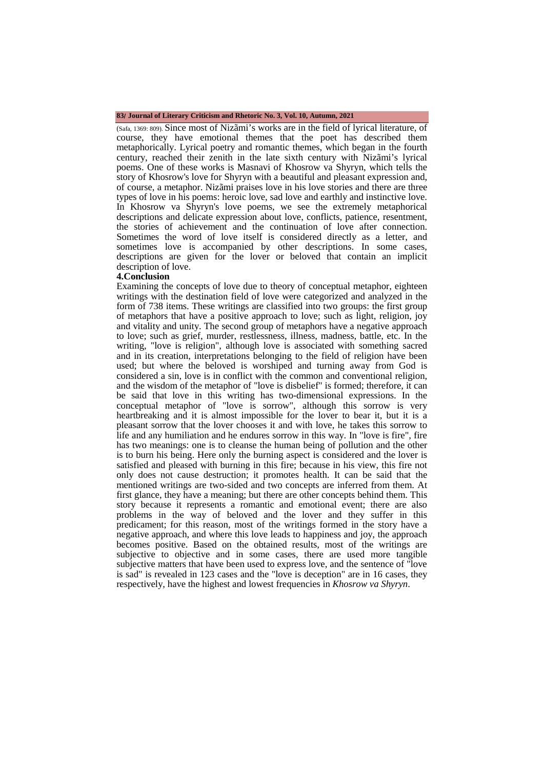#### **83**/ **Journal of Literary Criticism and Rhetoric No. 3, Vol. 10, Autumn, 2021**

(Safa, 1369: 809). Since most of Nizãmi's works are in the field of lyrical literature, of course, they have emotional themes that the poet has described them metaphorically. Lyrical poetry and romantic themes, which began in the fourth century, reached their zenith in the late sixth century with Nizãmi's lyrical poems. One of these works is Masnavi of Khosrow va Shyryn, which tells the story of Khosrow's love for Shyryn with a beautiful and pleasant expression and, of course, a metaphor. Nizãmi praises love in his love stories and there are three types of love in his poems: heroic love, sad love and earthly and instinctive love. In Khosrow va Shyryn's love poems, we see the extremely metaphorical descriptions and delicate expression about love, conflicts, patience, resentment, the stories of achievement and the continuation of love after connection. Sometimes the word of love itself is considered directly as a letter, and sometimes love is accompanied by other descriptions. In some cases, descriptions are given for the lover or beloved that contain an implicit description of love.

#### **4.Conclusion**

Examining the concepts of love due to theory of conceptual metaphor, eighteen writings with the destination field of love were categorized and analyzed in the form of 738 items. These writings are classified into two groups: the first group of metaphors that have a positive approach to love; such as light, religion, joy and vitality and unity. The second group of metaphors have a negative approach to love; such as grief, murder, restlessness, illness, madness, battle, etc. In the writing, "love is religion", although love is associated with something sacred and in its creation, interpretations belonging to the field of religion have been used; but where the beloved is worshiped and turning away from God is considered a sin, love is in conflict with the common and conventional religion, and the wisdom of the metaphor of "love is disbelief" is formed; therefore, it can be said that love in this writing has two-dimensional expressions. In the conceptual metaphor of "love is sorrow", although this sorrow is very heartbreaking and it is almost impossible for the lover to bear it, but it is a pleasant sorrow that the lover chooses it and with love, he takes this sorrow to life and any humiliation and he endures sorrow in this way. In "love is fire", fire has two meanings: one is to cleanse the human being of pollution and the other is to burn his being. Here only the burning aspect is considered and the lover is satisfied and pleased with burning in this fire; because in his view, this fire not only does not cause destruction; it promotes health. It can be said that the mentioned writings are two-sided and two concepts are inferred from them. At first glance, they have a meaning; but there are other concepts behind them. This story because it represents a romantic and emotional event; there are also problems in the way of beloved and the lover and they suffer in this predicament; for this reason, most of the writings formed in the story have a negative approach, and where this love leads to happiness and joy, the approach becomes positive. Based on the obtained results, most of the writings are subjective to objective and in some cases, there are used more tangible subjective matters that have been used to express love, and the sentence of "love is sad" is revealed in 123 cases and the "love is deception" are in 16 cases, they respectively, have the highest and lowest frequencies in *Khosrow va Shyryn*.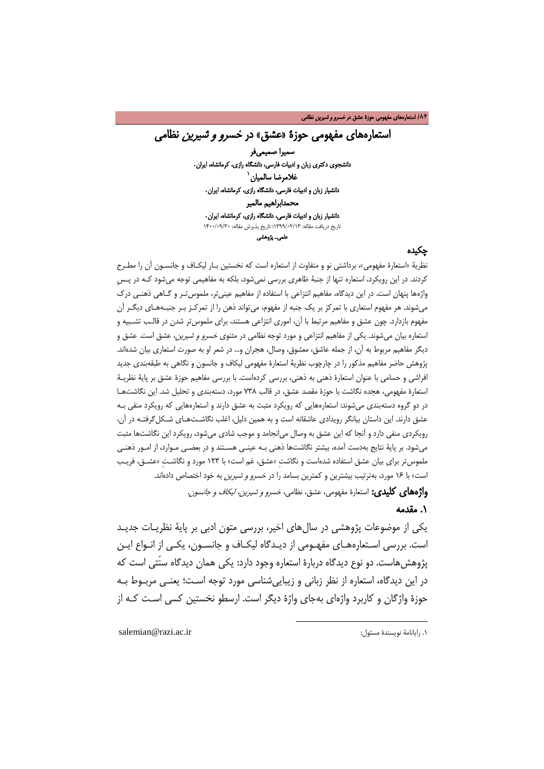# استعارههای مفهومی حوزۀ «عشق» در خ*سرو و شیرین ،* نظامی

 سمیرا صمیمیفر دانشجوی دکتری زبان و ادبیات فارسی، دانشگاه رازی، کرمانشاه، ایران**.** 1 غلامرضا سالمیان دانشیار زبان و ادبیات فارسی، دانشگاه راز[ی،](#page-3-0) کرمانشاه، ایران**.** محمدابراهیم مالمیر دانشیار زبان و ادبیات فارسی، دانشگاه رازی، کرمانشاه، ایران**.** تاریخ دریافت مقاله: 1399/02/13؛ تاریخ پذیرش مقاله: 1400/09/30 علمیـ پژوهشی

### چکیده

نظریۀ «استعارۀ مفهومی»، برداشتی نو و متفاوت از استعاره است که نخستین بـار لیکـاف و جانسـون آن را مطـرح کردند. در این رویکرد، استعاره تنها از جنبۀ ظاهری بررسی نمیشود، بلکه به مفاهیمی توجه میشود کـه در پـسِ واژهها پنهان است. در این دیدگاه، مفاهیم انتزاعی با استفاده از مفاهیم عینیتر، ملموستـر و گـاهی ذهنـی درک میشوند. هر مفهوم استعاری با تمرکز بر یک جنبه از مفهوم، میتواند ذهن را از تمرکـز بـر جنبـه هـا ی دیگـر آن مفهوم بازدارد. چون عشق و مفاهیم مرتبط با آن، اموری انتزاعی هستند، برای ملموستر شدن در قالـب تشـبیه و استعاره بیان میشوند. یکی از مفاهیم انتزاعی و مورد توجه نظامی در مثنوی خسرو و شیرین، عشق است. عشق و دیگر مفاهیم مربوط به آن، از جمله عاشق، معشوق، وصال، هجران و... در شعر او به صورت استعاری بیان شدهاند. پژوهش حاضر مفاهیم مذکور را در چارچوب نظریۀ استعارۀ مفهومی لیکاف و جانسون و نگاهی به طبقهبندی جدید افراشی و حسامی با عنوان استعارۀ ذهنی به ذهنی، بررسی کردهاست. با بررسی مفاهیم حوزۀ عشق بر پایۀ نظریـۀ استعارۀ مفهومی، هجده نگاشت با حوزۀ مقصد عشق، در قالب 738 مورد، دستهبندی و تحلیل شد. این نگاشتهـا در دو گروه دستهبندی میشوند: استعارههایی که رویکرد مثبت به عشق دارند و استعارههایی که رویکرد منفی بـه عشق دارند. این داستان بیانگر رویدادی عاشقانه است و به همین دلیل، اغلب نگاشـتهـای شـکل گرفتـه در آن، رویکردی منفی دارد و آنجا که این عشق به وصال میانجامد و موجب شادی میشود، رویکرد این نگاشتها مثبت میشود. بر پایۀ نتایج بهدست آمده، بیشتر نگاشتها ذهنی بـه عینـی هسـتند و در بعضـی مـوارد ، از امـور ذهنـی ملموستر برای بیان عشق استفاده شدهاست و نگاشتِ «عشق، غم است» با 123 مورد و نگاشـتِ «عشـق ، فریـب است» با 16 مورد، بهترتیب بیشترین و کمترین بسامد را در خسرو و شیرین به خود اختصاص دادهاند.

**واژههای کلیدی:** استعارۀ مفهومی، عشق، نظامی، خسر*و و شیرین، لیکاف و جانسون.* 

 $\overline{a}$ 

### .1 مقدمه

یکی از موضوعات پژوهشی در سالهای اخیر، بررسی متون ادبی بر پایۀ نظریـات جدیـد است. بررسی اسـتعارههـای مفهـومی از دیـدگاه لیکـاف و جانسـون، یکـی از انـواع ایـن پژوهشهاست. دو نوع دیدگاه دربارۀ استعاره وجود دارد: یکی همان دیدگاه سنّتی است که در این دیدگاه، استعاره از نظر زبانی و زیباییشناسی مورد توجه اسـت ؛ یعنـی مربـوط بـه حوزۀ واژگان و کاربرد واژهای بهجای واژۀ دیگر است. ارسطو نخستین کسی اسـت کـه از

<span id="page-3-0"></span>salemian@razi.ac.ir :مسئول نویسندۀ رایانامۀ .1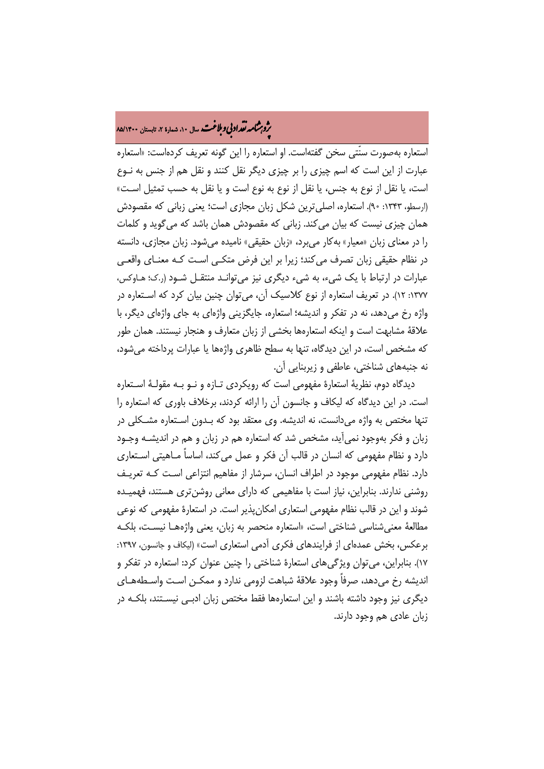# ه<br>بروب**شامه تقداد بې وبلاغت** سال ۱۰، شمارۀ ۲، تابستان ۸۵/۱۴۰۰<br>په

استعاره بهصورت سنّتی سخن گفتهاست. او استعاره را این گونه تعریف کردهاست: «استعاره عبارت از این است که اسم چیزی را بر چیزی دیگر نقل کنند و نقل هم از جنس به نـوع است، یا نقل از نوع به جنس، یا نقل از نوع به نوع است و یا نقل به حسب تمثیل اسـت » (ارسطو، :1343 90). استعاره، اصلیترین شکل زبان مجازی است؛ یعنی زبانی که مقصودش همان چیزی نیست که بیان میکند. زبانی که مقصودش همان باشد که میگوید و کلمات را در معنای زبان «معیار» بهکار میبرد، «زبان حقیقی» نامیده میشود. زبان مجازی، دانسته در نظام حقیقی زبان تصرف میکند؛ زیرا بر این فرض متکـی اسـت کـه معنـای واقعـی عبارات در ارتباط با یک شیء، به شیء دیگری نیز میتوانـد منتقـل شـود (ر.ک؛ هـاوکس، :1377 12). در تعریف استعاره از نوع کلاسیک آن، میتوان چنین بیان کرد که اسـتعاره در واژه رخ میدهد، نه در تفکر و اندیشه؛ استعاره، جایگزینی واژهای به جای واژهای دیگر، با علاقۀ مشابهت است و اینکه استعارهها بخشی از زبان متعارف و هنجار نیستند. همان طور که مشخص است، در این دیدگاه، تنها به سطح ظاهری واژهها یا عبارات پرداخته میشود، نه جنبههای شناختی، عاطفی و زیربنایی آن.

دیدگاه دوم، نظریۀ استعارۀ مفهومی است که رویکردی تـازه و نـو بـه مقولـۀ اسـتعاره است. در این دیدگاه که لیکاف و جانسون آن را ارائه کردند، برخلاف باوری که استعاره را تنها مختص به واژه میدانست، نه اندیشه. وی معتقد بود که بـدون اسـتعاره مشـکلی در زبان و فکر بهوجود نمیآید، مشخص شد که استعاره هم در زبان و هم در اندیشـه وجـود دارد و نظام مفهومی که انسان در قالب آن فکر و عمل میکند، اساساً مـاهیتی اسـتعاری دارد. نظام مفهومی موجود در اطراف انسان، سرشار از مفاهیم انتزاعی اسـت کـه تعریـف روشنی ندارند. بنابراین، نیاز است با مفاهیمی که دارای معانی روشنتری هستند، فهمیـده شوند و این در قالب نظام مفهومی استعاری امکانپذیر است. در استعارۀ مفهومی که نوعی مطالعۀ معنیشناسی شناختی است، «استعاره منحصر به زبان، یعنی واژههـا نیسـت، بلکـه برعکس، بخش عمدهای از فرایندهای فکری آدمی استعاری است» (لیکاف و جانسون، :1397 17). بنابراین، میتوان ویژگیهای استعارۀ شناختی را چنین عنوان کرد: استعاره در تفکر و اندیشه رخ میدهد، صرفاً وجود علاقۀ شباهت لزومی ندارد و ممکـن اسـت واسـطه هـا ی دیگری نیز وجود داشته باشند و این استعارهها فقط مختص زبان ادبـی نیسـتند، بلکـه در زبان عادی هم وجود دارند.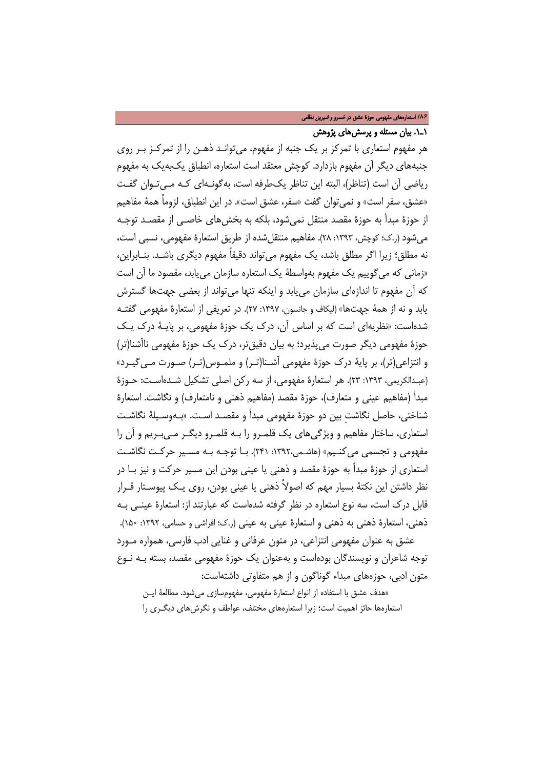### /**86** استعارههای مفهومی حوزۀ عشق در خسرو و شیرین نظامی

### 1ـ.1 بیان مسئله و پرسشهای پژوهش

هر مفهوم استعاری با تمرکز بر یک جنبه از مفهوم، میتوانـد ذهـن را از تمرکـز بـر روی جنبههای دیگر آن مفهوم بازدارد. کوچش معتقد است استعاره، انطباق یکبهیک به مفهوم ریاضی آن است (تناظر)، البته این تناظر یکطرفه است، بهگونـه ای کـه مـ یتـوان گفـت «عشق، سفر است» و نمیتوان گفت «سفر، عشق است». در این انطباق، لزوماً همۀ مفاهیم از حوزۀ مبدأ به حوزۀ مقصد منتقل نمیشود، بلکه به بخشهای خاصـی از مقصـد توجـه میشود (ر.ک؛ کوچش، :1393 28). مفاهیم منتقلشده از طریق استعارۀ مفهومی، نسبی است، نه مطلق؛ زیرا اگر مطلق باشد، یک مفهوم میتواند دقیقاً مفهوم دیگری باشـد. بنـابراین ، «زمانی که میگوییم یک مفهوم بهواسطۀ یک استعاره سازمان مییابد، مقصود ما آن است که آن مفهوم تا اندازهای سازمان مییابد و اینکه تنها میتواند از بعضی جهتها گسترش یابد و نه از همۀ جهتها» (لیکاف و جانسون، :1397 27). در تعریفی از استعارۀ مفهومی گفتـ ه شدهاست: «نظریهای است که بر اساس آن، درک یک حوزۀ مفهومی، بر پایـۀ درک یـک حوزۀ مفهومی دیگر صورت میپذیرد؛ به بیان دقیقتر، درک یک حوزۀ مفهومی ناآشنا(تر) و انتزاعی(تر)، بر پایۀ درک حوزۀ مفهومی آشـنا (تـر) و ملمـوس (تـر) صـورت مـی گیـرد » (عبـدالکریمی، :1393 23). هر استعارۀ مفهومی، از سه رکن اصلی تشکیل شـده اسـت: حـوزۀ مبدأ (مفاهیم عینی و متعارف)، حوزۀ مقصد (مفاهیم ذهنی و نامتعارف) و نگاشت. استعارۀ شناختی، حاصل نگاشتِ بین دو حوزۀ مفهومی مبدأ و مقصـد اسـت. «بـه وسـ یلۀ نگاشـت استعاری، ساختار مفاهیم و ویژگیهای یک قلمـرو را بـه قلمـرو دیگـر مـ یبـریم و آن را مفهومی و تجسمی می کنـیم» (هاشـمی،۱۳۹۲: ۲۴۱). بـا توجـه بـه مسـیر حرکـت نگاشـت استعاری از حوزۀ مبدأ به حوزۀ مقصد و ذهنی یا عینی بودن این مسیر حرکت و نیز بـا در نظر داشتن این نکتۀ بسیار مهم که اصولاً ذهنی یا عینی بودن، روی یـک پیوسـتار قـرار قابل درک است، سه نوع استعاره در نظر گرفته شدهاست که عبارتند از: استعارۀ عینـی بـه ذهنی، استعارۀ ذهنی به ذهنی و استعارۀ عینی به عینی (ر.ک؛ افراشی و حسامی، :1392 150). عشق به عنوان مفهومی انتزاعی، در متون عرفانی و غنایی ادب فارسی، همواره مـورد توجه شاعران و نویسندگان بودهاست و بهعنوان یک حوزۀ مفهومی مقصد، بسته بـه نـوع

متون ادبی، حوزههای مبداء گوناگون و از هم متفاوتی داشتهاست:

«هدف عشق با استفاده از انواع استعارۀ مفهومی، مفهومسازی میشود. مطالعۀ ایـن استعارهها حائز اهمیت است؛ زیرا استعارههای مختلف، عواطف و نگرشهای دیگـری را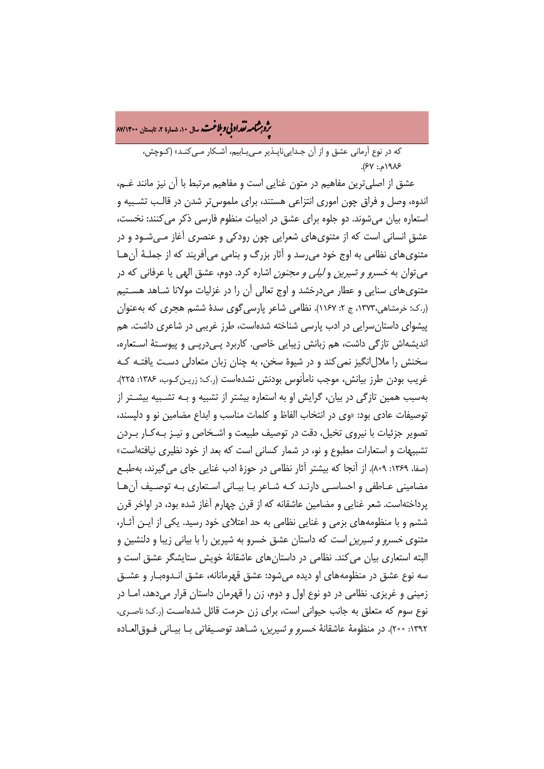ه<br>بروب**شامه تقداد بې وبلاغت** سال ۱۰، شمارۀ ۲، تابستان ۸۷/۱۴۰۰<br>په

که در نوع آرمانی عشق و از آن جـدا ییناپـذیر مـ ییـابیم ، آشـ کار مـ یکنـد » (کـوچش، 1986م:. 67).

عشق از اصلیترین مفاهیم در متون غنایی است و مفاهیم مرتبط با آن نیز مانند غـم، اندوه، وصل و فراق چون اموری انتزاعی هستند، برای ملموستر شدن در قالـب تشـبیه و استعاره بیان میشوند. دو جلوه برای عشق در ادبیات منظوم فارسی ذکر میکنند: نخست، عشقِ انسانی است که از مثنویهای شعرایی چون رودکی و عنصری آغاز مـی شـود و در مثنویهای نظامی به اوج خود میرسد و آثار بزرگ و بنامی میآفریند که از جملـۀ آنهـا میتوان به خسرو و شیرین و لیلی و مجنون اشاره کرد. دوم، عشق الهی یا عرفانی که در مثنویهای سنایی و عطار میدرخشد و اوج تعالی آن را در غزلیات مولانا شـاهد هسـتیم (ر.ک؛ خرمشاهی،1373، ج :2 1167). نظامی شاعر پارسیگوی سدۀ ششم هجری که بهعنوان پیشوای داستانسرایی در ادب پارسی شناخته شدهاست، طرز غریبی در شاعری داشت. هم اندیشهاش تازگی داشت، هم زبانش زیبایی خاصی. کاربرد پـی درپـی و پیوسـتۀ اسـتعاره، سخنش را ملالانگیز نمیکند و در شیوۀ سخن، به چنان زبان متعادلی دسـت یافتـه کـه غریب بودن طرز بیانش، موجب نامأنوس بودنش نشدهاست (ر.ک؛ زریـن کـوب ، :1386 225). بهسبب همین تازگی در بیان، گرایش او به استعاره بیشتر از تشبیه و بـه تشـبیه بیشـتر از توصیفات عادی بود: «وی در انتخاب الفاظ و کلمات مناسب و ابداع مضامین نو و دلپسند، تصویر جزئیات با نیروی تخیل، دقت در توصیف طبیعت و اشـخاص و نیـز بـه کـار بـردن تشبیهات و استعارات مطبوع و نو، در شمار کسانی است که بعد از خود نظیری نیافتهاست» (صفا، ۱۳۶۹: ۸۰۹). از آنجا که بیشتر آثار نظامی در حوزۀ ادب غنایی جای میگیرند، بهطبـع مضامینی عـاطفی و احساسـی دارنـد کـه شـاعر بـا بیـانی اسـتعاری بـه توصـیف آنهـا پرداختهاست. شعر غنایی و مضامین عاشقانه که از قرن چهارم آغاز شده بود، در اواخر قرن ششم و با منظومههای بزمی و غنایی نظامی به حد اعتلای خود رسید. یکی از ایـن آثـار ، مثنوی خسرو و شیرین است که داستان عشق خسرو به شیرین را با بیانی زیبا و دلنشین و البته استعاری بیان میکند. نظامی در داستانهای عاشقانۀ خویش ستایشگر عشق است و سه نوع عشق در منظومههای او دیده می شود: عشق قهرمانانه، عشق انـدوهبـار و عشــق زمینی و غریزی. نظامی در دو نوع اول و دوم، زن را قهرمان داستان قرار میدهد، امـا در نوع سوم که متعلق به جانب حیوانی است، برای زن حرمت قائل شدهاسـت (ر.ک؛ ناصـری، :1392 200). در منظومۀ عاشقانۀ خسرو و شیرین، شـاهد توصـیفاتی بـا بیـانی فـوق العـاده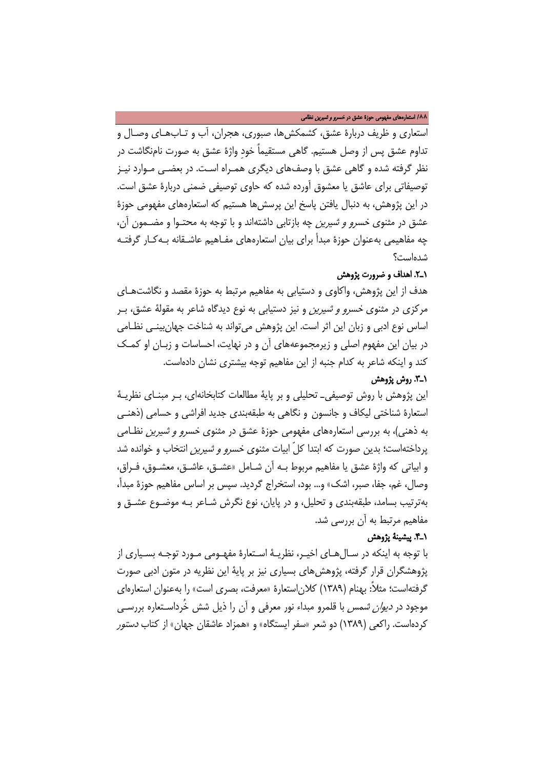#### /**88** استعارههای مفهومی حوزۀ عشق در خسرو و شیرین نظامی

استعاری و ظریف دربارۀ عشق، کشمکشها، صبوری، هجران، آب و تـاب هـا ی وصـال و تداوم عشق پس از وصل هستیم. گاهی مستقیماً خودِ واژۀ عشق به صورت نامنگاشت در نظر گرفته شده و گاهی عشق با وصفهای دیگری همـراه اسـت. در بعضـی مـوارد نیـز توصیفاتی برای عاشق یا معشوق آورده شده که حاوی توصیفی ضمنی دربارۀ عشق است. در این پژوهش، به دنبال یافتن پاسخ این پرسشها هستیم که استعارههای مفهومی حوزۀ عشق در مثنوی خسرو و شیرین چه بازتابی داشتهاند و با توجه به محتـوا و مضـمون آن، چه مفاهیمی بهعنوان حوزۀ مبدأ برای بیان استعارههای مفـاهیم عاشـقانه بـه کـار گرفتـه شدهاست؟

### 1ـ.2 اهداف و ضرورت پژوهش

هدف از این پژوهش، واکاوی و دستیابی به مفاهیم مرتبط به حوزۀ مقصد و نگاشتهـا ی مرکزی در مثنوی خسرو و شیرین و نیز دستیابی به نوع دیدگاه شاعر به مقولۀ عشق، بـر اساس نوع ادبی و زبان این اثر است. این پژوهش میتواند به شناخت جهانبینـی نظـامی در بیان این مفهوم اصلی و زیرمجموعههای آن و در نهایت، احساسات و زبـان او کمـک کند و اینکه شاعر به کدام جنبه از این مفاهیم توجه بیشتری نشان دادهاست.

### 1ـ.3 روش پژوهش

این پژوهش با روش توصیفیـ تحلیلی و بر پایۀ مطالعات کتابخانهای، بـر مبنـای نظریـۀ استعارۀ شناختی لیکاف و جانسون و نگاهی به طبقهبندی جدید افراشی و حسامی (ذهنـی به ذهنی)، به بررسی استعارههای مفهومی حوزۀ عشق در مثنوی خسرو و شیرین نظـامی پرداختهاست؛ بدین صورت که ابتدا کلّ ابیات مثنوی خسرو و شیرین انتخاب و خوانده شد و ابیاتی که واژۀ عشق یا مفاهیم مربوط بـه آن شـامل «عشـق، عاشـق، معشـوق، فـراق، وصال، غم، جفا، صبر، اشک» و... بود، استخراج گردید. سپس بر اساس مفاهیم حوزۀ مبدأ، بهترتیب بسامد، طبقهبندی و تحلیل، و در پایان، نوع نگرش شـاعر بـه موضـوع عشـق و مفاهیم مرتبط به آن بررسی شد.

### 1ـ.4 پیشینۀ پژوهش

با توجه به اینکه در سـال هـا ی اخیـر، نظریـۀ اسـتعارۀ مفهـومی مـورد توجـه بسـیاری از پژوهشگران قرار گرفته، پژوهشهای بسیاری نیز بر پایۀ این نظریه در متون ادبی صورت گرفتهاست؛ مثلا:ً بهنام (1389) کلاناستعارۀ «معرفت، بصری است» را بهعنوان استعارهای موجود در دیوان شمس با قلمرو مبداء نور معرفی و آن را ذیل شش خُرداسـتعاره بررسـی کردهاست. راکعی (1389) دو شعر «سفر ایستگاه» و «همزاد عاشقان جهان» از کتاب دستور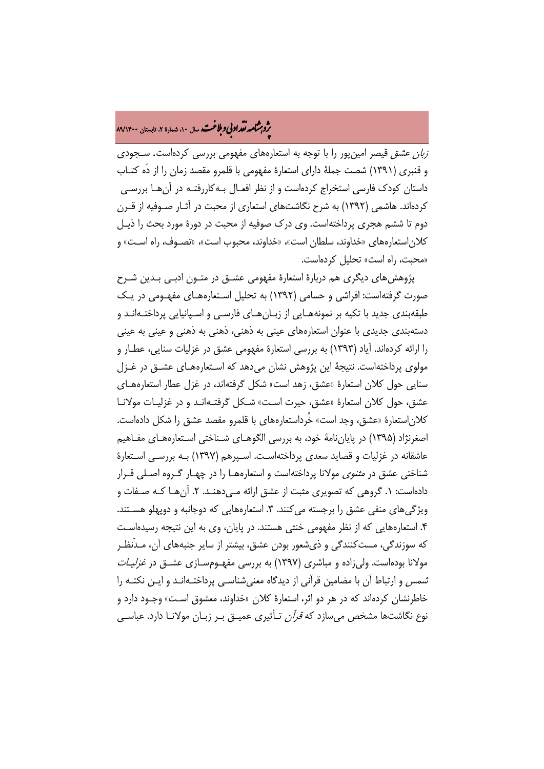# ه<br>بروب**شامه تقداد بې وبلاغت** سال ۱۰، شمارۀ ۲، تابستان ۸۹/۱۴۰۰<br>په

زبان عشق قیصر امینپور را با توجه به استعارههای مفهومی بررسی کردهاست. سـجودی و قنبری (1391) شصت جملۀ دارای استعارۀ مفهومی با قلمرو مقصد زمان را از دَه کتـاب داستان کودک فارسی استخراج کردهاست و از نظر افعـال بـه کاررفتـه در آنهـا بررسـی کردهاند. هاشمی (1392) به شرح نگاشتهای استعاری از محبت در آثـار صـوفیه از قـرن دوم تا ششم هجری پرداختهاست. وی درک صوفیه از محبت در دورۀ مورد بحث را ذیـل کلاناستعارههای «خداوند، سلطان است»، «خداوند، محبوب است»، «تصـوف ، راه اسـت » و «محبت، راه است» تحلیل کردهاست.

پژوهشهای دیگری هم دربارۀ استعارۀ مفهومی عشـق در متـون ادبـی بـدین شـرح صورت گرفتهاست: افراشی و حسامی (1392) به تحلیل اسـتعاره هـا ی مفهـومی در یـک طبقهبندی جدید با تکیه بر نمونههـایی از زبـان هـای فارسـی و اسـپانیایی پرداختـهانـد و دستهبندی جدیدی با عنوان استعارههای عینی به ذهنی، ذهنی به ذهنی و عینی به عینی را ارائه کردهاند. آیاد (1393) به بررسی استعارۀ مفهومی عشق در غزلیات سنایی، عطـار و مولوی پرداختهاست. نتیجۀ این پژوهش نشان می دهد که اسـتعارههـای عشــق در غــزل سنایی حول کلان استعارۀ «عشق، زهد است» شکل گرفتهاند، در غزل عطار استعارههـا ی عشق، حول کلان استعارۀ «عشق، حیرت اسـت » شـکل گرفتـه انـد و در غزلیـات مولانـا کلاناستعارۀ «عشق، وجد است» خُرداستعارههای با قلمرو مقصد عشق را شکل دادهاست. اصغرنژاد (1395) در پایاننامۀ خود، به بررسی الگوهـای شـناختی اسـتعاره هـا ی مفـاهیم عاشقانه در غزلیات و قصاید سعدی پرداختهاسـت . اسـپرهم (1397) بـه بررسـی اسـتعارۀ شناختی عشق در مثنوی مولانا پرداختهاست و استعارههـا را در چهـار گـروه اصـلی قـرار دادهاست: ١. گروهی که تصویری مثبت از عشق ارائه مـی‹هنـد. ۲. آنهـا کـه صـفات و ویژگی های منفی عشق را برجسته می کنند. ۳. استعارههایی که دوجانبه و دوپهلو هسـتند. .4 استعارههایی که از نظر مفهومی خنثی هستند. در پایان، وی به این نتیجه رسیدهاسـت که سوزندگی، مستکنندگی و ذیشعور بودن عشق، بیشتر از سایر جنبههای آن، مـدّ نظـر مولانا بودهاست. ولی زاده و مباشری (۱۳۹۷) به بررسی مفهـومسـازی عشـق در *غزلیـات* شمس و ارتباط آن با مضامین قرآنی از دیدگاه معنیشناسـی پرداختـه انـد و ایـن نکتـه را خاطرنشان کردهاند که در هر دو اثر، استعارۀ کلان «خداوند، معشوق اسـت » وجـود دارد و نوع نگاشتها مشخص میسازد که قرآن تـأثیری عمیـق بـر زبـان مولانـا دارد. عباسـی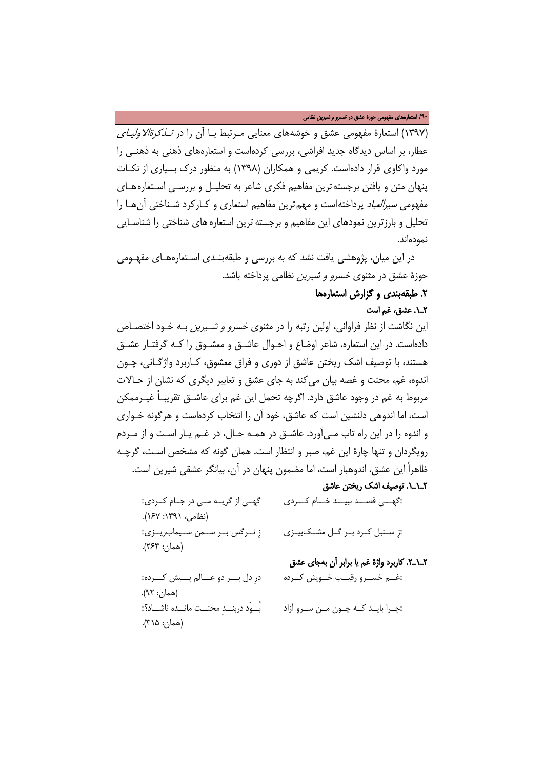#### /**90** استعارههای مفهومی حوزۀ عشق در خسرو و شیرین نظامی

(1397) استعارۀ مفهومی عشق و خوشههای معنایی مـرتبط بـا آن را در تـذکرة الاولیـای عطار، بر اساس دیدگاه جدید افراشی، بررسی کردهاست و استعارههای ذهنی به ذهنـی را مورد واکاوی قرار دادهاست. کریمی و همکاران (1398) به منظور درک بسیاری از نکـات پنهان متن و یافتن برجستهترین مفاهیم فکری شاعر به تحلیـل و بررسـی اسـتعاره هـای مفهومی سیرالعباد پرداختهاست و مهمترین مفاهیم استعاری و کـارکرد شـناختی آنهـا را تحلیل و بارزترین نمودهای این مفاهیم و برجستهترین استعارههای شناختی را شناسـایی نمودهاند.

در این میان، پژوهشی یافت نشد که به بررسی و طبقهبنـدی اسـتعارههـای مفهـومی حوزۀ عشق در مثنوی خسرو و شیرین نظامی پرداخته باشد.

# .2 طبقهبندی و گزارش استعارهها

## 2ـ.1 عشق، غم است

این نگاشت از نظر فراوانی، اولین رتبه را در مثنوی خسرو و شـیرین بـه خـود اختصـاص دادهاست. در این استعاره، شاعر اوضاع و احـوال عاشـق و معشـوق را کـه گرفتـار عشـق هستند، با توصیف اشک ریختن عاشق از دوری و فراق معشوق، کـاربرد واژگـانی ، چـو ن اندوه، غم، محنت و غصه بیان میکند به جای عشق و تعابیر دیگری که نشان از حـالا ت مربوط به غم در وجود عاشق دارد. اگرچه تحمل این غم برای عاشـق تقریبـاً غیـرممکن است، اما اندوهی دلنشین است که عاشق، خود آن را انتخاب کردهاست و هرگونه خـواری و اندوه را در این راه تاب مـ یآورد. عاشـق در همـه حـال، در غـم یـار اسـت و از مـردم رویگردان و تنها چارۀ این غم، صبر و انتظار است. همان گونه که مشخص اسـت، گرچـه ظاهراً این عشق، اندوهبار است، اما مضمون پنهان در آن، بیانگر عشقی شیرین است. 2ـ1ـ.1 توصیف اشک ریختن عاشق

«گهـــی قصـــد نبیـــد خـــام کـــردی گهــی از گریــه مــی در جــام کــردی » (نظامی، :1391 167). «زِ ســنبل کــرد بــر گــل مشــکبیــزی زِ نــرگس بــر ســمن ســیمابریــزی» (همان: 264). 2ـ1ـ.2 کاربرد واژۀ غم یا برابر آن بهجای عشق «غــم خســرو رقیــب خــویش کــرده درِ دل بـــر دو عـــالم پـــیش کـــرده » (همان: 92). «چــرا بایــد کــه چــون مــن ســرو آزاد بُــوَد دربنــدِ محنــت مانــده ناشــاد؟ » (همان: 315).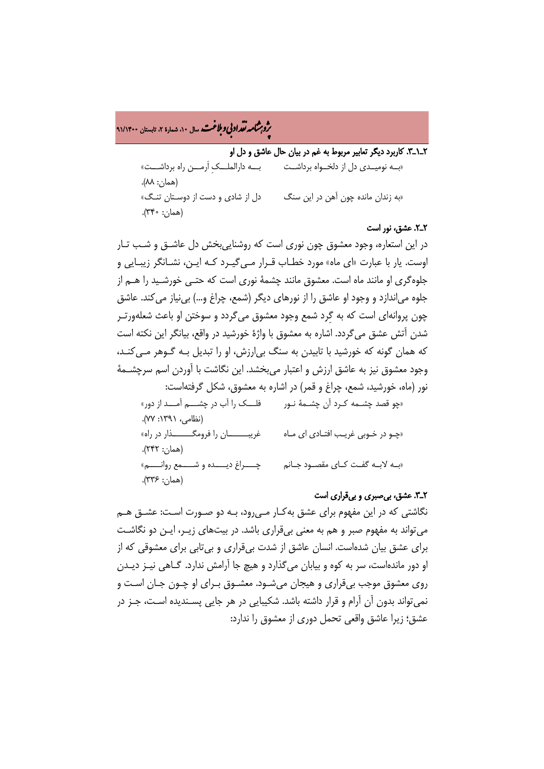ه<br>بروب**شامه تقداد بې وبلاغت** سال ۱۰، شمارۀ ۲، تابستان ۹۱/۱۴۰۰<br>په

(همان: 336).

2ـ1ـ.3 کاربرد دیگر تعابیر مربوط به غم در بیان حال عاشق و دل او

«بــه نومیــدی دل از دلخــواه برداشــت بـــه دارالملـــکِ اَرمـــن راه برداشـــت » (همان: 88). «به زندان مانده چون آهن در این سنگ دل از شادی و دست از دوسـتان تنـگ » (همان: 340).

### 2ـ.2 عشق، نور است

در این استعاره، وجود معشوق چون نوری است که روشناییبخش دل عاشـق و شـب تـار اوست. یار با عبارت «ای ماه» مورد خطـاب قـرار مـ یگیـرد کـه ایـن ، نشـانگر زیبـایی و جلوهگری او مانند ماه است. معشوق مانند چشمۀ نوری است که حتـی خورشـید را هـم از جلوه میاندازد و وجود او عاشق را از نورهای دیگر (شمع، چراغ و...) بینیاز میکند. عاشق چون پروانهای است که به گِرد شمع وجود معشوق میگردد و سوختن او باعث شعلهورتـر شدن آتش عشق میگردد. اشاره به معشوق با واژۀ خورشید در واقع، بیانگر این نکته است که همان گونه که خورشید با تابیدن به سنگ بیارزش، او را تبدیل بـه گـوهر مـ یکنـد ، وجود معشوق نیز به عاشق ارزش و اعتبار میبخشد. این نگاشت با آوردن اسم سرچشـمۀ نور (ماه، خورشید، شمع، چراغ و قمر) در اشاره به معشوق، شکل گرفتهاست: «چو قصد چشـمه کـرد آن چشـمۀ نـور فلـــک را آب در چشـــم آمـــد از دور » (نظامی، :1391 77). «چـو در خـوبی غریـب افتـادی ای مـاه غریبـــــــان را فرومگـــــــذار در راه» (همان: 242). «بــه لابــه گفــت کــای مقصــود جــانم چــــراغ دیــــده و شــــمع روانــــم »

### 2ـ.3 عشق، ب یصبری و ب یقراری است

نگاشتی که در این مفهوم برای عشق بهکـار مـ یرود، بـه دو صـورت اسـت: عشـق هـم میتواند به مفهوم صبر و هم به معنی بیقراری باشد. در بیتهای زیـر ، ایـن دو نگاشـت برای عشق بیان شدهاست. انسان عاشق از شدت بیقراری و بیتابی برای معشوقی که از او دور ماندهاست، سر به کوه و بیابان میگذارد و هیچ جا آرامش ندارد. گـاهی نیـز دیـدن روی معشوق موجب بیقراری و هیجان میشـود . معشـوق بـرای او چـون جـان اسـت و نمیتواند بدون آن آرام و قرار داشته باشد. شکیبایی در هر جایی پسـندیده اسـت ، جـز در عشق؛ زیرا عاشق واقعی تحمل دوری از معشوق را ندارد: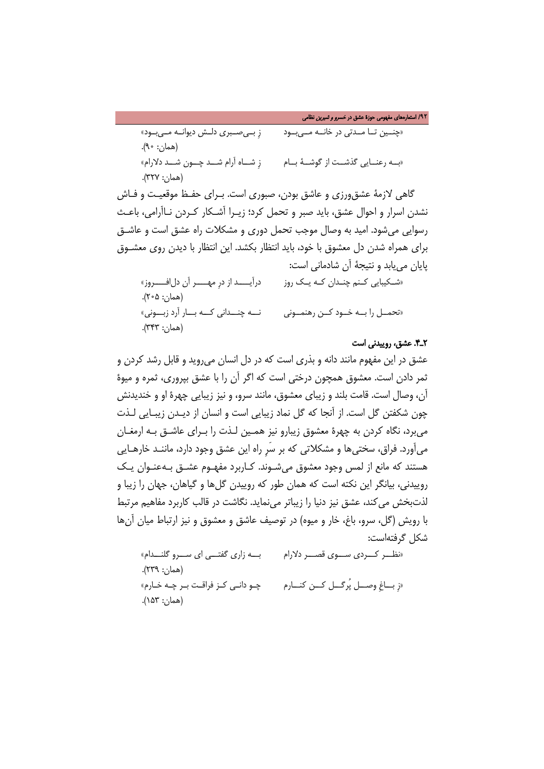/**92** استعارههای مفهومی حوزۀ عشق در خسرو و شیرین نظامی

«چنــین تــا مــدتی در خانــه مــیبــود زِ بــیصــبری دلــش دیوانــه مــیبــود»  $(A \circ : \neg A)$ . «بــه رعنــایی گذشــت از گوشــۀ بــام زِ شــاه آرام شــد چــون شــد دلارام» (همان: 327).

گاهی لازمۀ عشقورزی و عاشق بودن، صبوری است. بـرای حفـظ موقعیـت و فـاش نشدن اسرار و احوال عشق، باید صبر و تحمل کرد؛ زیـرا آشـکار کـردن نـاآرامی ، باعـث رسوایی میشود. امید به وصال موجب تحمل دوری و مشکلات راه عشق است و عاشـق برای همراه شدن دل معشوق با خود، باید انتظار بکشد. این انتظار با دیدن روی معشـوق پایان مییابد و نتیجۀ آن شادمانی است:

«شـکیبایی کـنم چنـدان کـه یـک روز درآیــــد از درِ مهــــر آن دلافــــروز» (همان: 205). «تحمــل را بــه خــود کــن رهنمــونی نـــه چنـــدانی کـــه بـــار آرد زبـــونی » (همان: 343).

### 2ـ.4 عشق، روییدنی است

عشق در این مفهوم مانند دانه و بذری است که در دل انسان میروید و قابل رشد کردن و ثمر دادن است. معشوق همچون درختی است که اگر آن را با عشق بپروری، ثمره و میوۀ آن، وصال است. قامت بلند و زیبای معشوق، مانند سرو، و نیز زیبایی چهرۀ او و خندیدنش چون شکفتن گل است. از آنجا که گل نماد زیبایی است و انسان از دیـدن زیبـایی لـذت میبرد، نگاه کردن به چهرۀ معشوق زیبارو نیز همـین لـذت را بـرای عاشـق بـه ارمغـان میآورد. فراق، سختیها و مشکلاتی که بر سَرِ راه این عشق وجود دارد، ماننـد خارهـایی هستند که مانع از لمس وجود معشوق میشـوند . کـاربرد مفهـوم عشـق بـه عنـوان یـک روییدنی، بیانگر این نکته است که همان طور که روییدن گلها و گیاهان، جهان را زیبا و لذتبخش میکند، عشق نیز دنیا را زیباتر مینماید. نگاشت در قالب کاربرد مفاهیم مرتبط با رویش (گل، سرو، باغ، خار و میوه) در توصیف عاشق و معشوق و نیز ارتباط میان آنها شکل گرفتهاست:

«نظـــر کـــردی ســـوی قصـــر دلارام بـــه زاری گفتـــی ای ســـرو گلنـــدام » (همان: 239). «زِ بــاغِ وصــل پُرگــل کــن کنــارم چـو دانـی کـز فراقـت بـر چـه خـارم » (همان: 153).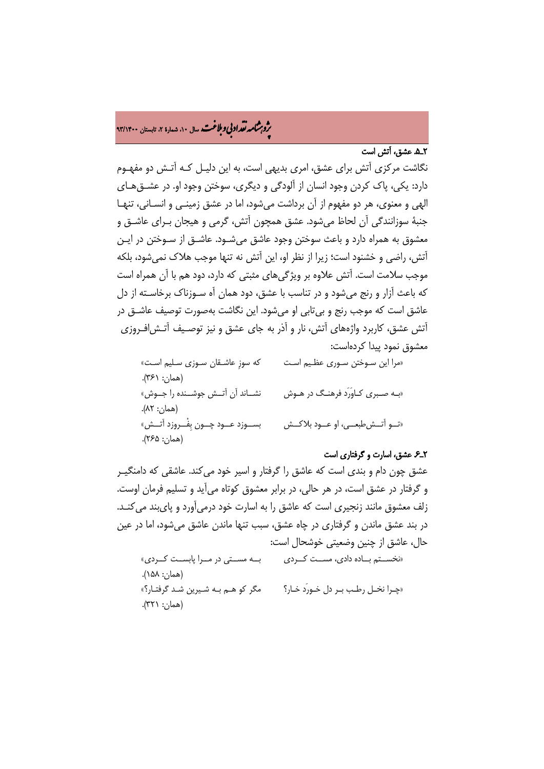# ه<br>بروب**شامه تقداد بې وبلاغت** سال ۱۰، شمارۀ ۲، تابستان ۹۳/۱۴۰۰<br>په

## 2ـ.5 عشق، آتش است

نگاشت مرکزی آتش برای عشق، امری بدیهی است، به این دلیـل کـه آتـش دو مفهـوم دارد: یکی، پاک کردن وجود انسان از آلودگی و دیگری، سوختن وجود او. در عشـق هـای الهی و معنوی، هر دو مفهوم از آن برداشت میشود، اما در عشق زمینـی و انسـانی ، تنهـا جنبۀ سوزانندگی آن لحاظ میشود. عشق همچون آتش، گرمی و هیجان بـرای عاشـق و معشوق به همراه دارد و باعث سوختن وجود عاشق میشـود . عاشـق از سـوختن در ایـن آتش، راضی و خشنود است؛ زیرا از نظر او، این آتش نه تنها موجب هلاک نمیشود، بلکه موجب سلامت است. آتش علاوه بر ویژگیهای مثبتی که دارد، دود هم با آن همراه است که باعث آزار و رنج میشود و در تناسب با عشق، دود همان آه سـوزناک برخاسـته از دل عاشق است که موجب رنج و بیتابی او میشود. این نگاشت بهصورت توصیف عاشـق در آتش عشق، کاربرد واژههای آتش، نار و آذر به جای عشق و نیز توصـیف آتـش افـروزی معشوق نمود پیدا کردهاست:

«مرا این سـوختن سـوری عظـیم اسـت که سوزِ عاشـقان سـوزی سـلیم اسـت » (همان: ۶۱). «بـه صـبری کـاوَرَد فرهنـگ در هـوش نشــاند آن آتــش جوشــنده را جــوش » (همان: 82). «تــو آتــش طبعــی، او عــود بلاکــش بســوزد عــود چــون بِفْــروزد آتــش » (همان: 265).

### 2ـ.6 عشق، اسارت و گرفتاری است

عشق چون دام و بندی است که عاشق را گرفتار و اسیر خود میکند. عاشقی که دامنگیـر و گرفتار در عشق است، در هر حالی، در برابر معشوق کوتاه میآید و تسلیم فرمان اوست. زلف معشوق مانند زنجیری است که عاشق را به اسارت خود درمیآورد و پایبند میکنـد . در بند عشق ماندن و گرفتاری در چاه عشق، سبب تنها ماندن عاشق میشود، اما در عین حال، عاشق از چنین وضعیتی خوشحال است:

«نخســتم بــاده دادی، مســت کــردی بــه مســتی در مــرا پابســت کــردی» (همان: 158). «چـرا نخـل رطـب بـر دل خـورَد خـار؟ مگر کو هـم بـه شـیرین شـد گرفتـار؟ » (همان: 321).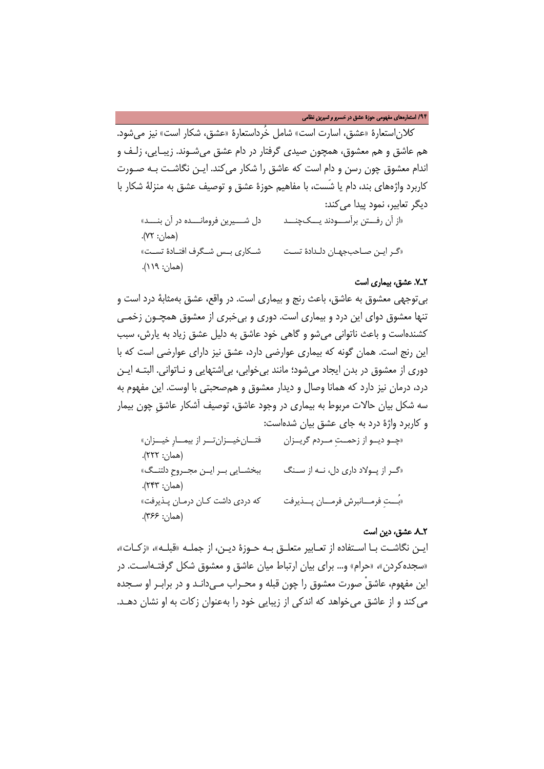/**94** استعارههای مفهومی حوزۀ عشق در خسرو و شیرین نظامی

کلاناستعارۀ «عشق، اسارت است» شامل خُرداستعارۀ «عشق، شکار است» نیز میشود. هم عاشق و هم معشوق، همچون صیدی گرفتار در دام عشق میشـوند . زیبـایی، زلـ ف و اندام معشوق چون رسن و دام است که عاشق را شکار میکند. ایـن نگاشـت بـه صـورت کاربرد واژههای بند، دام یا شَست، با مفاهیم حوزۀ عشق و توصیف عشق به منزلۀ شکار با دیگر تعابیر، نمود پیدا می کند:

«از آن رفـــتن برآســـودند یـــک چنـــد دل شـــیرین فرومانـــده در آن بنـــد » (همان: 72). «گـر ایـن صـاحبجهـان دلـدادۀ تسـت شــکاری بــس شــگرف افتــادۀ تســت» (همان: 119).

### 2ـ.7 عشق، بیماری است

بیتوجهی معشوق به عاشق، باعث رنج و بیماری است. در واقع، عشق بهمثابۀ درد است و تنها معشوق دوای این درد و بیماری است. دوری و بیخبری از معشوق همچـون زخمـی کشندهاست و باعث ناتوانی میشو و گاهی خود عاشق به دلیل عشق زیاد به یارش، سبب این رنج است. همان گونه که بیماری عوارضی دارد، عشق نیز دارای عوارضی است که با دوری از معشوق در بدن ایجاد میشود؛ مانند بیخوابی، بیاشتهایی و نـاتوانی. البتـه ایـن درد، درمان نیز دارد که همانا وصال و دیدار معشوق و همصحبتی با اوست. این مفهوم به سه شکل بیان حالات مربوط به بیماری در وجود عاشق، توصیف آشکار عاشقِ چون بیمار و کاربرد واژۀ درد به جای عشق بیان شدهاست:

| فتـانخيــزان تــر از بيمــارِ خيــزان» | «چــو ديــو از زحمــتِ مــردم گريــزان |
|----------------------------------------|----------------------------------------|
| (همان: ۲۲۲).                           |                                        |
| ببخشـايي بـر ايـن مجـروحِ دلتنـگ»      | «گر از پولاد داری دل، نـه از سـنگ      |
| (همان: ۲۴۳).                           |                                        |
| كه دردى داشت كان درمان پذيرفت»         | «بُــتِ فرمـــانبرش فرمـــان پـــذيرفت |
| (همان: ۳۶۶).                           |                                        |

### 2ـ.8 عشق، دین است

ایـن نگاشـت بـا اسـتفاده از تعـابیر متعلـق بـه حـوزۀ دیـن، از جملـه «قبلـه»، «زکـات»، «سجده کردن»، «حرام» و… برای بیان ارتباط میان عاشق و معشوق شکل گرفتـه|سـت. در این مفهوم، عاشقْ صورت معشوق را چون قبله و محـراب مـی دانـد و در برابـر او سـجده میکند و از عاشق میخواهد که اندکی از زیبایی خود را بهعنوان زکات به او نشان دهـد.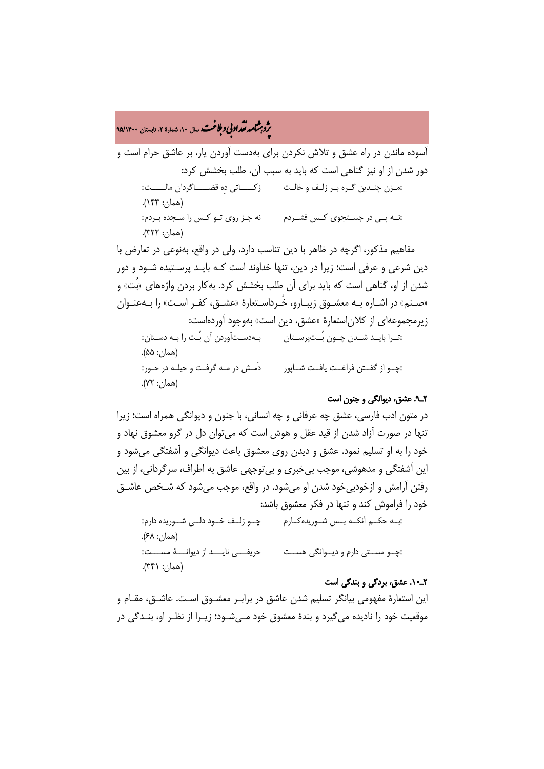# ه<br>بروب**شامه تقداد بې وبلاغت** سال ۱۰، شمارۀ ۲، تابستان ۹۵/۱۴۰۰<br>په

آسوده ماندن در راه عشق و تلاش نکردن برای بهدست آوردن یار، بر عاشق حرام است و دور شدن از او نیز گناهی است که باید به سبب آن، طلب بخشش کرد: «مـزن چنـدین گـره بـر زلـف و خالـت زکــــاتی دِه قضـــــاگردان مالـــــت» (همان: 144). «نــه پــی در جســتجوی کــس فشــردم نه جـز روی تـو کـس را سـجده بـردم » (همان: 322).

مفاهیم مذکور، اگرچه در ظاهر با دین تناسب دارد، ولی در واقع، بهنوعی در تعارض با دین شرعی و عرفی است؛ زیرا در دین، تنها خداوند است کـه بایـد پرسـتیده شـود و دور شدن از او، گناهی است که باید برای آن طلب بخشش کرد. بهکار بردن واژههای «بُت» و «صـنم» در اشـاره بـه معشـوق زیبـارو، خُـرداسـتعارۀ «عشـق، کفـر اسـت» را بـهعنـوان زیرمجموعهای از کلاناستعارۀ «عشق، دین است» بهوجود آوردهاست: «تــرا بایــد شــدن چــون بُــتپرســتان بـهدسـتآوردن آن بُـت را بـه دسـتان» (همان: 55). «چــو از گفــتن فراغــت یافــت شــاپور دَمـش در مـه گرفـت و حیلـه در حـور» (همان: 72).

# 2ـ.9 عشق، دیوانگی و جنون است

در متون ادب فارسی، عشق چه عرفانی و چه انسانی، با جنون و دیوانگی همراه است؛ زیرا تنها در صورت آزاد شدن از قید عقل و هوش است که میتوان دل در گرو معشوق نهاد و خود را به او تسلیم نمود. عشق و دیدن روی معشوق باعث دیوانگی و آشفتگی میشود و این آشفتگی و مدهوشی، موجب بیخبری و بیتوجهی عاشق به اطراف، سرگردانی، از بین رفتن آرامش و ازخودبیخود شدن او میشود. در واقع، موجب میشود که شـخص عاشـق خود را فراموش کند و تنها در فکر معشوق باشد:

«بــه حکــم آنکــه بــس شــوریدهکــارم چــو زلــف خــود دلــی شــوریده دارم » (همان: 68). «چــو مســتی دارم و دیــوانگی هســت حریفـــی نایـــد از دیوانـــۀ مســـت » (همان: 341).

### 2ـ.10 عشق، بردگی و بندگی است

این استعارۀ مفهومی بیانگر تسلیم شدن عاشق در برابـ ر معشـوق اسـت. عاشـق ، مقـام و موقعیت خود را نادیده میگیرد و بندۀ معشوق خود مـ یشـود ؛ زیـرا از نظـر او ، بنـدگی در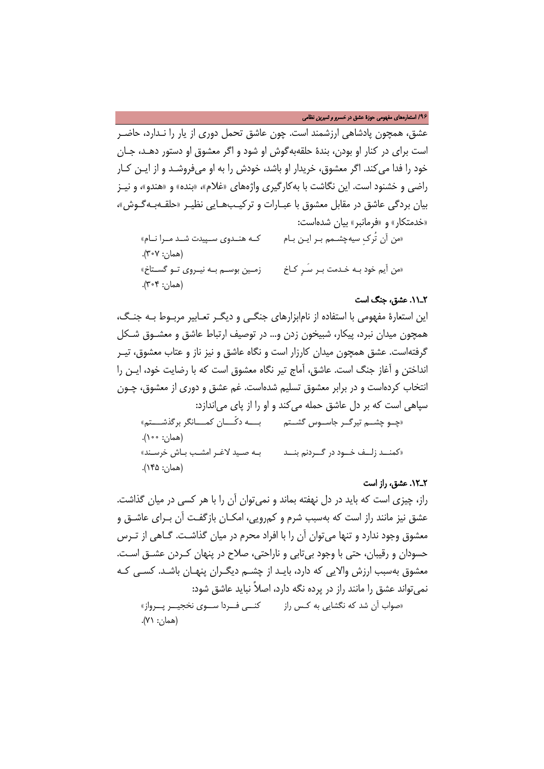/**96** استعارههای مفهومی حوزۀ عشق در خسرو و شیرین نظامی

عشق، همچون پادشاهی ارزشمند است. چون عاشق تحمل دوری از یار را نـدارد، حاضـر است برای در کنار او بودن، بندۀ حلقهبهگوش او شود و اگر معشوق او دستور دهـد، جـا ن خود را فدا میکند. اگر معشوق، خریدار او باشد، خودش را به او میفروشـد و از ایـن کـار راضی و خشنود است. این نگاشت با بهکارگیری واژههای «غلام»، «بنده» و «هندو»، و نیـز بیان بردگی عاشق در مقابل معشوق با عبـارات و ترکیـب هـایی نظیـر «حلقـه بـه گـوش »، «خدمتکار» و «فرمانبر» بیان شدهاست:

«من آن تُرکِ سیهچشـمم بـر ایـن بـام کــه هنــدوی ســپیدت شــد مــرا نــام » (همان: 307). «من آیم خود بـه خـدمت بـر سَـرِ کـاخ زمـین بوسـم بـه نیـروی تـو گســتاخ » (همان: 304).

### 2ـ.11 عشق، جنگ است

این استعارۀ مفهومی با استفاده از نامابزارهای جنگـی و دیگـر تعـابیر مربـوط بـه جنـگ ، همچون میدان نبرد، پیکار، شبیخون زدن و... در توصیف ارتباط عاشق و معشـوق شـکل گرفتهاست. عشق همچون میدان کارزار است و نگاه عاشق و نیز ناز و عتاب معشوق، تیـر انداختن و آغاز جنگ است. عاشق، آماج تیر نگاه معشوق است که با رضایت خود، ایـن را انتخاب کردهاست و در برابر معشوق تسلیم شدهاست. غم عشق و دوری از معشوق، چـون سپاهی است که بر دل عاشق حمله میکند و او را از پای میاندازد: «چــو چشــم تیرگــر جاســوس گشــتم بـــه دکّـــان کمـــانگر برگذشـــتم»

 (همان: 100). «کمنــد زلــف خــود در گــردنم بنــد بـه صـید لاغـر امشـب بـاش خرسـند» (همان: 145).

### 2ـ.12 عشق، راز است

راز، چیزی است که باید در دل نهفته بماند و نمیتوان آن را با هر کسی در میان گذاشت. عشق نیز مانند راز است که بهسبب شرم و کمرویی، امکـان بازگفـت آن بـرای عاشـق و معشوق وجود ندارد و تنها میتوان آن را با افراد محرم در میان گذاشـت. گـاهی از تـرس حسودان و رقیبان، حتی با وجود بیتابی و ناراحتی، صلاح در پنهان کـردن عشـق اسـت . معشوق بهسبب ارزش والایی که دارد، بایـد از چشـم دیگـران پنهـان باشـد. کسـی کـه نمیتواند عشق را مانند راز در پرده نگه دارد، اصلاً نباید عاشق شود: «صواب آن شد که نگشایی به کـس راز کنــی فــردا ســوی نخجیــر پــرواز» (همان: 71).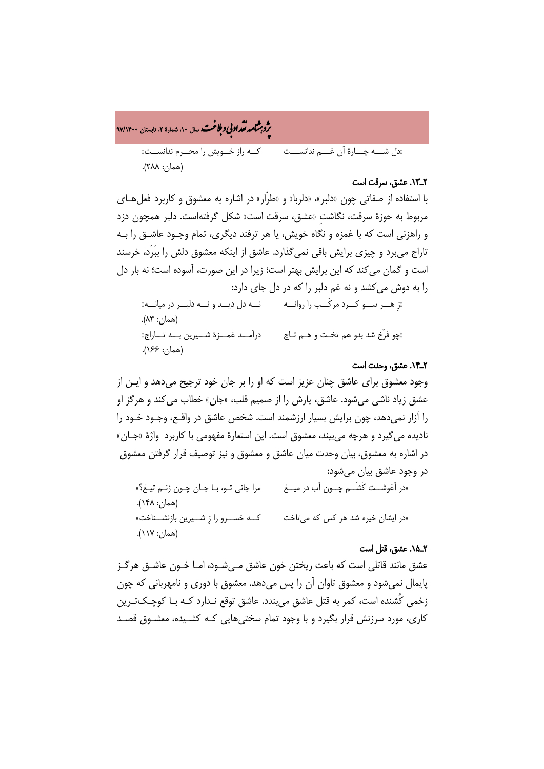ه<br>بروب**شامه تقداد بې وبلاغت** سال ۱۰، شمارۀ ۲، تابستان ۹۷/۱۴۰۰<br>په «دل شـــه چـــارۀ آن غـــم ندانســـت کــه راز خــویش را محــرم ندانســت » (همان: 288).

### 2ـ.13 عشق، سرقت است

با استفاده از صفاتی چون «دلبر»، «دلربا» و «طرّار» در اشاره به معشوق و کاربرد فعل هـای مربوط به حوزۀ سرقت، نگاشتِ «عشق، سرقت است» شکل گرفتهاست. دلبر همچون دزد و راهزنی است که با غمزه و نگاه خویش، یا هر ترفند دیگری، تمام وجـود عاشـق را بـه تاراج میبرد و چیزی برایش باقی نمیگذارد. عاشق از اینکه معشوق دلش را ببَرَد، خرسند است و گمان میکند که این برایش بهتر است؛ زیرا در این صورت، آسوده است؛ نه بار دل را به دوش میکشد و نه غم دلبر را که در دل جای دارد:

«زِ هــر ســو کــرد مرکَــب را روانــه نــه دل دیــد و نــه دلبــر در میانــه» (همان: 84). «چو فرّخ شد بدو هم تخـت و هـم تـاج درآمــد غمــزۀ شـــیرین بـــه تــاراج» (همان: 166).

### 2ـ.14 عشق، وحدت است

وجود معشوق برای عاشق چنان عزیز است که او را بر جان خود ترجیح میدهد و ایـن از عشق زیاد ناشی میشود. عاشق، یارش را از صمیم قلب، «جان» خطاب میکند و هرگز او را آزار نمیدهد، چون برایش بسیار ارزشمند است. شخص عاشق در واقـع ، وجـود خـود را نادیده میگیرد و هرچه میبیند، معشوق است. این استعارۀ مفهومی با کاربرد واژۀ «جـان » در اشاره به معشوق، بیان وحدت میان عاشق و معشوق و نیز توصیف قرار گرفتن معشوق در وجود عاشق بیان میشود: «در آغوشــت کَشَــم چــون آب در میــغ مرا جانی تـو، بـا جـان چـون زنـم تیـغ؟ » (همان: 148). «در ایشان خیره شد هر کس که میتاخت کــه خســرو را زِ شــیرین بازنشــناخت » (همان: 117).

### 2ـ.15 عشق، قتل است

عشق مانند قاتلی است که باعث ریختن خون عاشق مـ یشـود ، امـ ا خـون عاشـق هرگـز پایمال نمیشود و معشوق تاوان آن را پس میدهد. معشوق با دوری و نامهربانی که چون زخمی کُشنده است، کمر به قتل عاشق میبندد. عاشق توقع نـدارد کـه بـا کوچـک تـر ین کاری، مورد سرزنش قرار بگیرد و با وجود تمام سختیهایی کـه کشـیده، معشـوق قصـد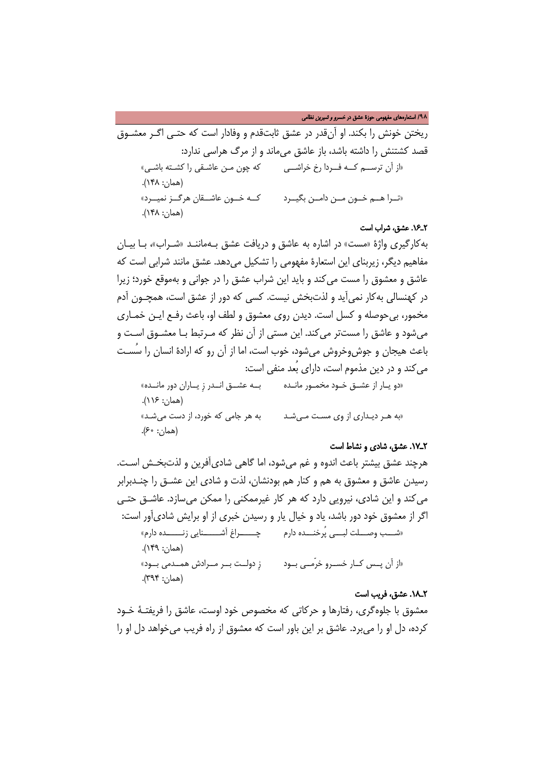/**98** استعارههای مفهومی حوزۀ عشق در خسرو و شیرین نظامی

ریختن خونش را بکند. او آنقدر در عشق ثابتقدم و وفادار است که حتـی اگـر معشـوق قصد کشتنش را داشته باشد، باز عاشق میماند و از مرگ هراسی ندارد: «از آن ترســم کــه فــردا رخ خراشــی که چون مـن عاشـقی را کشـته باشـی » (همان: 148). «تــرا هــم خــون مــن دامــن بگیــرد کــه خــون عاشــقان هرگــز نمیــرد » (همان: 148).

### 2ـ.16 عشق، شراب است

بهکارگیری واژۀ «مست» در اشاره به عاشق و دریافت عشق بـه ماننـد «شـراب »، بـا بیـان مفاهیم دیگر، زیربنای این استعارۀ مفهومی را تشکیل میدهد. عشق مانند شرابی است که عاشق و معشوق را مست میکند و باید این شراب عشق را در جوانی و بهموقع خورد؛ زیرا در کهنسالی بهکار نمیآید و لذتبخش نیست. کسی که دور از عشق است، همچـون آدم مخمور، بیحوصله و کسل است. دیدن روی معشوق و لطف او، باعث رفـع ایـن خمـاری میشود و عاشق را مستتر می کند. این مستی از آن نظر که مـرتبط بـا معشـوق اسـت و باعث هیجان و جوشوخروش میشود، خوب است، اما از آن رو که ارادۀ انسان را سُسـت میکند و در دین مذموم است، دارای بُعد منفی است: «دو یــار از عشـق خـود مخمـور مانــده بــه عشــق انــدر زِ یــاران دور مانــده » (همان: 116). «به هـر دیـداری از وی مسـت مـیشـد به هر جامی که خورد، از دست میشـد» (همان: 60).

### 2ـ.17 عشق، شادی و نشاط است

هرچند عشق بیشتر باعث اندوه و غم میشود، اما گاهی شادیآفرین و لذتبخـش اسـت. رسیدن عاشق و معشوق به هم و کنار هم بودنشان، لذت و شادی این عشـق را چنـدبرابر میکند و این شادی، نیرویی دارد که هر کار غیرممکنی را ممکن میسازد. عاشـق حتـی اگر از معشوق خود دور باشد، یاد و خیال یار و رسیدن خبری از او برایش شادیآور است: «شـــب وصـــلت لبـــی پُرخنـــده دارم چـــــراغ آشــــــنایی زنـــــده دارم» (همان: 149). «از آن پــس کــار خســرو خرّمــی بــ ود زِ دولــت بــر مــرادش همــدمی بــود » (همان: 394).

### 2ـ.18 عشق، فریب است

معشوق با جلوهگری، رفتارها و حرکاتی که مخصوص خود اوست، عاشق را فریفتـۀ خـود کرده، دل او را میبرد. عاشق بر این باور است که معشوق از راه فریب میخواهد دل او را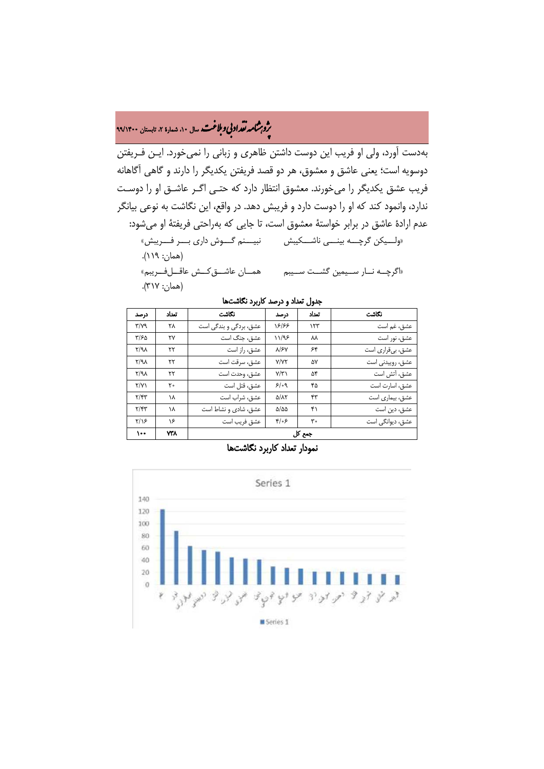# ه<br>بروب**شامه تقداد بې وبلاغت** سال ۱۰، شمارۀ ۲، تابستان ۹۹/۱۴۰۰<br>په

بهدست آورد، ولی او فریب این دوست داشتن ظاهری و زبانی را نمیخورد. ایـن فـریفتن دوسویه است؛ یعنی عاشق و معشوق، هر دو قصد فریفتن یکدیگر را دارند و گاهی آگاهانه فریب عشق یکدیگر را میخورند. معشوق انتظار دارد که حتـی اگـر عاشـق او را دوسـت ندارد، وانمود کند که او را دوست دارد و فریبش دهد. در واقع، این نگاشت به نوعی بیانگر عدم ارادۀ عاشق در برابر خواستۀ معشوق است، تا جایی که بهراحتی فریفتۀ او میشود: «ولـــیکن گرچـــه بینـــی ناشـــکیبش نبیـــنم گـــوش داری بـــر فـــریبش » (همان: 119). «اگرچــه نــار ســیمین گشــت ســیبم همــان عاشــقکــش عاقــلفــریبم»

(همان: 317).

جدول تعداد و درصد کاربرد نگاشتها

| درصد                          | تعداد | نكاشت                  | درصد                     | تعداد | نكاشت            |  |
|-------------------------------|-------|------------------------|--------------------------|-------|------------------|--|
| $\mathbf{r}/\mathbf{v}$ 9     | ۲۸    | عشق، بردگی و بندگی است | 18188                    | ۱۲۳   | عشق، غم است      |  |
| ۳/۶۵                          | ۲۷    | عشق، جنگ است           | 11/98                    | ᄊ     | عشق، نور است     |  |
| $Y/A\lambda$                  | ۲۲    | عشق، راز است           | $\lambda$ / $\epsilon$   | ۶۴    | عشق، بيقراري است |  |
| $Y/A\lambda$                  | ۲۲    | عشق، سرقت است          | <b>Y/YY</b>              | ۵٧    | عشق، روييدني است |  |
| $Y/A\lambda$                  | ۲۲    | عشق، وحدت است          | Y/Y                      | ۵۴    | عشق، آتش است     |  |
| Y/Y                           | ۲۰    | عشق، قتل است           | 5/09                     | ۴۵    | عشق، اسارت است   |  |
| $Y/\mathfrak{r} \mathfrak{r}$ | ۱۸    | عشق، شراب است          | $\Delta/\lambda\Upsilon$ | ۴۳    | عشق، بیماری است  |  |
| $\mathbf{Y}/\mathbf{Y}$       | ۱۸    | عشق، شادی و نشاط است   | $\Delta/\Delta\Delta$    | ۴۱    | عشق، دین است     |  |
| $Y/\sqrt{2}$                  | ۱۶    | عشق فريب است           | ۶/۰۶                     | ۳۰    | عشق، دیوانگی است |  |
| $\lambda$                     | ۷۳۸   | جمع کل                 |                          |       |                  |  |



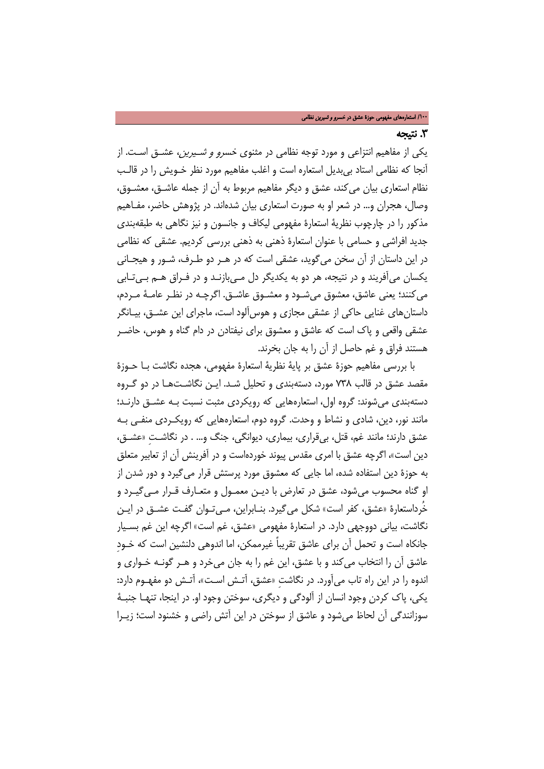### .3 نتیجه

یکی از مفاهیم انتزاعی و مورد توجه نظامی در مثنوی خسرو و شـیرین ، عشـق اسـت. از آنجا که نظامی استاد بیبدیل استعاره است و اغلب مفاهیم مورد نظر خـویش را در قالـب نظام استعاری بیان میکند، عشق و دیگر مفاهیم مربوط به آن از جمله عاشـق، معشـوق، وصال، هجران و... در شعر او به صورت استعاری بیان شدهاند. در پژوهش حاضر، مفـاهیم مذکور را در چارچوب نظریۀ استعارۀ مفهومی لیکاف و جانسون و نیز نگاهی به طبقهبندی جدید افراشی و حسامی با عنوان استعارۀ ذهنی به ذهنی بررسی کردیم. عشقی که نظامی در این داستان از آن سخن میگوید، عشقی است که در هـر دو طـرف، شـور و هیجـانی یکسان میآفریند و در نتیجه، هر دو به یکدیگر دل مـ یبازنـد و در فـراق هـم بـ یتـابی میکنند؛ یعنی عاشق، معشوق میشـود و معشـوق عاشـق. اگرچـه در نظـر عامـۀ مـردم ، داستانهای غنایی حاکی از عشقی مجازی و هوسآلود است، ماجرای این عشـق، بیـانگر عشقی واقعی و پاک است که عاشق و معشوق برای نیفتادن در دام گناه و هوس، حاضـر هستند فراق و غم حاصل از آن را به جان بخرند.

با بررسی مفاهیم حوزۀ عشق بر پایۀ نظریۀ استعارۀ مفهومی، هجده نگاشت بـا حـوزۀ مقصد عشق در قالب 738 مورد، دستهبندی و تحلیل شـد. ایـن نگاشـت هـا در دو گـروه دستهبندی میشوند: گروه اول، استعارههایی که رویکردی مثبت نسبت بـه عشـق دارنـد؛ مانند نور، دین، شادی و نشاط و وحدت. گروه دوم، استعارههایی که رویکـردی منفـی بـه عشق دارند؛ مانند غم، قتل، بیقراری، بیماری، دیوانگی، جنگ و... . در نگاشـتِ «عشـق ، دین است»، اگرچه عشق با امری مقدس پیوند خوردهاست و در آفرینش آن از تعابیر متعلق به حوزۀ دین استفاده شده، اما جایی که معشوق مورد پرستش قرار میگیرد و دور شدن از او گناه محسوب میشود، عشق در تعارض با دیـن معمـول و متعـارف قـرار مـ یگیـرد و خُرداستعارۀ «عشق، کفر است» شکل میگیرد. بنـابراین ، مـ یتـوان گفـت عشـق در ایـن نگاشت، بیانی دووجهی دارد. در استعارۀ مفهومی «عشق، غم است» اگرچه این غم بسـیار جانکاه است و تحمل آن برای عاشق تقریباً غیرممکن، اما اندوهی دلنشین است که خـودِ عاشق آن را انتخاب میکند و با عشق، این غم را به جان میخرد و هـر گونـه خـواری و اندوه را در این راه تاب میآورد. در نگاشتِ «عشق، آتـش اسـت »، آتـش دو مفهـوم دارد: یکی، پاک کردن وجود انسان از آلودگی و دیگری، سوختن وجود او. در اینجا، تنهـا جنبـۀ سوزانندگی آن لحاظ میشود و عاشق از سوختن در این آتش راضی و خشنود است؛ زیـرا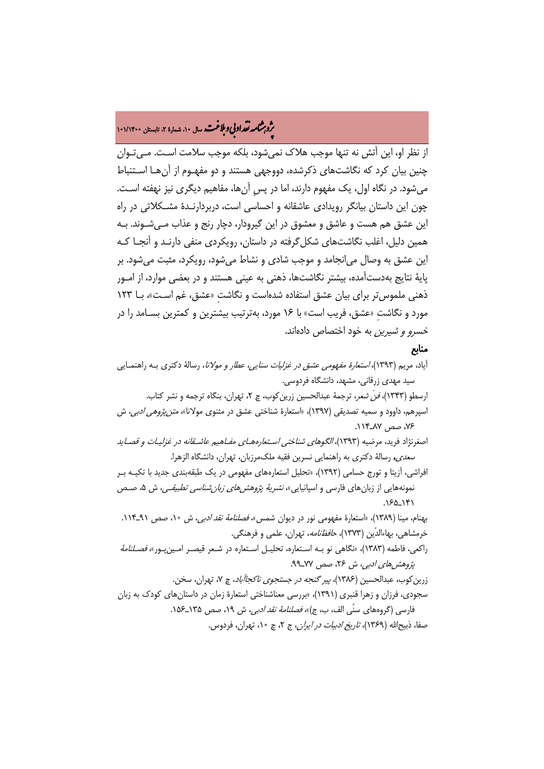# ه مشا**مه تقراد بي و بلاغت.** سال ۱۰، شمارۀ ۲، تابستان ۱۰۱/۱۴۰۰<br>په

از نظر او، این آتش نه تنها موجب هلاک نمیشود، بلکه موجب سلامت اسـت. مـ یتـوان چنین بیان کرد که نگاشتهای ذکرشده، دووجهی هستند و دو مفهـوم از آنهـا اسـتنباط میشود. در نگاه اول، یک مفهوم دارند، اما در پسِ آنها، مفاهیم دیگری نیز نهفته اسـت. چون این داستان بیانگر رویدادی عاشقانه و احساسی است، دربردارنـدۀ مشـکلاتی در راه این عشق هم هست و عاشق و معشوق در این گیرودار، دچار رنج و عذاب مـی شـوند. بـه همین دلیل، اغلب نگاشتهای شکلگرفته در داستان، رویکردی منفی دارنـد و آنجـا کـه این عشق به وصال میانجامد و موجب شادی و نشاط میشود، رویکرد، مثبت میشود. بر پایۀ نتایج بهدستآمده، بیشتر نگاشتها، ذهنی به عینی هستند و در بعضی موارد، از امـور ذهنی ملموستر برای بیان عشق استفاده شدهاست و نگاشتِ «عشق، غم اسـت »، بـا 123 مورد و نگاشتِ «عشق، فریب است» با 16 مورد، بهترتیب بیشترین و کمترین بسـامد را در خسرو و شیرین به خود اختصاص دادهاند.

### منابع

آیاد، مریم (1393)، استعارۀ مفهومی عشق در غزلیات سنایی، عطار و مولانا، رسالۀ دکتری بـه راهنمـایی سید مهدی زرقانی، مشهد، دانشگاه فردوسی. ارسطو (۱۳۴۳)، *فنَ شعر*، ترجمۀ عبدالحسین زرین کوب، چ ۲، تهران، بنگاه ترجمه و نشر کتاب. اسپرهم، داوود و سمیه تصدیقی (1397)، «استعارۀ شناختی عشق در مثنوی مولانا»، متنپژوهی ادبی، ش ،76 صص 87ـ.114 اصغرنژاد فرید، مرضیه (۱۳۹۳)، *الگوهای شناختی اسـتعارههـای مفـاهیم عاشـقانه در غزلیـات و قصـاید* سعدی، رسالۀ دکتری به راهنمایی نسرین فقیه ملکمرزبان، تهران، دانشگاه الزهرا. افراشی، آزیتا و تورج حسامی (1392)، «تحلیل استعارههای مفهومی در یک طبقهبندی جدید با تکیـه بـر نمونههایی از زبانهای فارسی و اسپانیایی»، *نشریۀ پژوهشهای زبان شناسی تطبیقـی،* ش ۵، صـص 141ـ.165 بهنام، مینا (۱۳۸۹)، «استعارۀ مفهومی نور در دیوان شمس»، *فصلنامۀ نقد ادبی،* ش ۱۰، صص ۹۱ـ۱۱۴.

خرمشاهی، بهاءالدّین (۱۳۷۳)، ح*افظنامه*، تهران، علمی و فرهنگی. راکعی، فاطمه (۱۳۸۳)، «نگاهی نو بـه اسـتعاره، تحلیـل اسـتعاره در شـعر قیصـر امـینپـور»، *فصـلنامۀ* 

پژوهش های ادبی، ش ۲۶، صص ۷۷ـ۹۹.

زرین کوب، عبدالحسین (۱۳۸۶)، *پیر گنجه در جستجوی ناکجاآباد*، چ ۷، تهران، سخن. سجودی، فرزان و زهرا قنبری (1391)، «بررسی معناشناختی استعارۀ زمان در داستانهای کودک به زبان فارسی (گروههای سنّی الف، ب، ج)»، *فصلنامۀ نقد ادبی،* ش ۱۹، صص ۱۳۵ـ-۱۵۶. صفا، ذبیحالله (۱۳۶۹)، ت*اریخ ادبیات در ایران، ج* ۲، چ ۱۰، تهران، فردوس.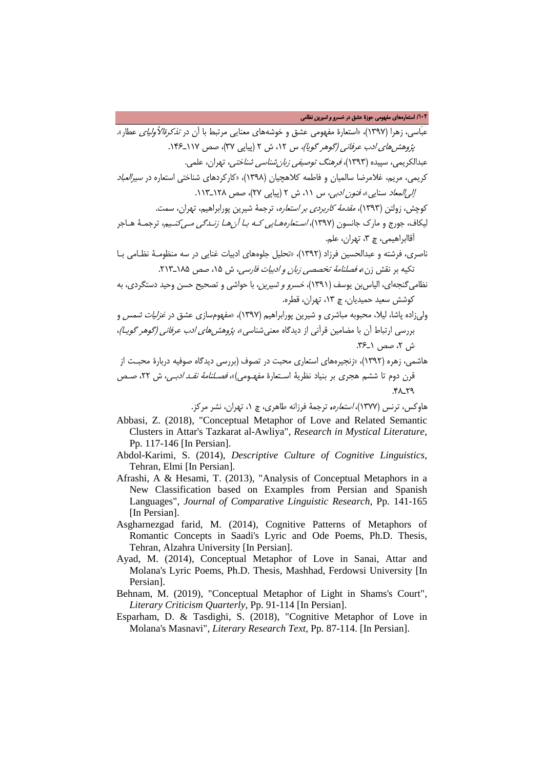عبَاسی، زهرا (۱۳۹۷)، «استعارۀ مفهومی عشق و خوشههای معنایی مرتبط با آن در *تذکرةالأولیای* عطار». پژوه*ش های ادب عرفانی (گوهر گویا)،* س ۱۲، ش ۲ (پیاپی ۳۷)، صص ۱۱۷–۱۴۶. عبدالکریمی، سپیده (1393)، فرهنگ توصیفی زبانشناسی شناختی، تهران، علمی. کریمی، مریم، غلامرضا سالمیان و فاطمه کلاهچیان (1398)، «کارکردهای شناختی استعاره در سیرالعباد إل*ی المعاد* سنایی»، *فنون ادبی،* س ١١، ش ٢ (پیاپی ٢٧)، صص ١٢٨ـ١١٣. کوچش، زولتن (1393)، مقدمۀ کاربردی بر استعاره، ترجمۀ شیرین پورابراهیم، تهران، سمت. لیکاف، جورج و مارک جانسون (۱۳۹۷)، *اسـتعارههـایی کـه بـا آن هـا زنـدگی مــ <sub>ی</sub>کنـیم،* ترجمـۀ هـاجر آقاابراهیمی، چ ،3 تهران، علم. ناصری، فرشته و عبدالحسین فرزاد (1392)، «تحلیل جلوههای ادبیات غنایی در سه منظومـۀ نظـامی بـا تکیه بر نقش زن»، فصلنامۀ تخصصی زبان و ادبیات فارسی، ش ،15 صص 185ـ.213 نظامیگنجهای، الیاسبن یوسف (1391)، خسرو و شیرین، با حواشی و تصحیح حسن وحید دستگردی، به کوشش سعید حمیدیان، چ ،13 تهران، قطره. ولیزاده پاشا، لیلا، محبوبه مباشری و شیرین پورابراهیم (1397)، «مفهومسازی عشق در غزلیات شمس و بررسی ارتباط آن با مضامین قرآنی از دیدگاه معنی شناسی»، *پژوهش های ادب عرفانی (گوهر گویـا)*، ش ٢، صص <u>١</u>ـ٢۶. هاشمی، زهره (1392)، «زنجیرههای استعاری محبت در تصوف (بررسی دیدگاه صوفیه دربارۀ محبـت از

قرن دوم تا ششم هجری بر بنیاد نظریۀ اسـتعارۀ مفهـومی) »، فصـلنامۀ نقـد ادبـی ، ش ،22 صـص  $Y^{\lambda}$ .

هاوکس، ترنس (1377)، استعاره، ترجمۀ فرزانه طاهری، چ ،1 تهران، نشر مرکز.

- Abbasi, Z. (2018), "Conceptual Metaphor of Love and Related Semantic Clusters in Attar's Tazkarat al-Awliya"*, Research in Mystical Literature*, Pp. 117-146 [In Persian].
- Abdol-Karimi, S. (2014), *Descriptive Culture of Cognitive Linguistics*, Tehran, Elmi [In Persian].
- Afrashi, A & Hesami, T. (2013), "Analysis of Conceptual Metaphors in a New Classification based on Examples from Persian and Spanish Languages", *Journal of Comparative Linguistic Research*, Pp. 141-165 [In Persian].
- Asgharnezgad farid, M. (2014), Cognitive Patterns of Metaphors of Romantic Concepts in Saadi's Lyric and Ode Poems, Ph.D. Thesis, Tehran, Alzahra University [In Persian].
- Ayad, M. (2014), Conceptual Metaphor of Love in Sanai, Attar and Molana's Lyric Poems, Ph.D. Thesis, Mashhad, Ferdowsi University [In Persian].
- Behnam, M. (2019), "Conceptual Metaphor of Light in Shams's Court", *Literary Criticism Quarterly*, Pp. 91-114 [In Persian].
- Esparham, D. & Tasdighi, S. (2018), "Cognitive Metaphor of Love in Molana's Masnavi", *Literary Research Text*, Pp. 87-114. [In Persian].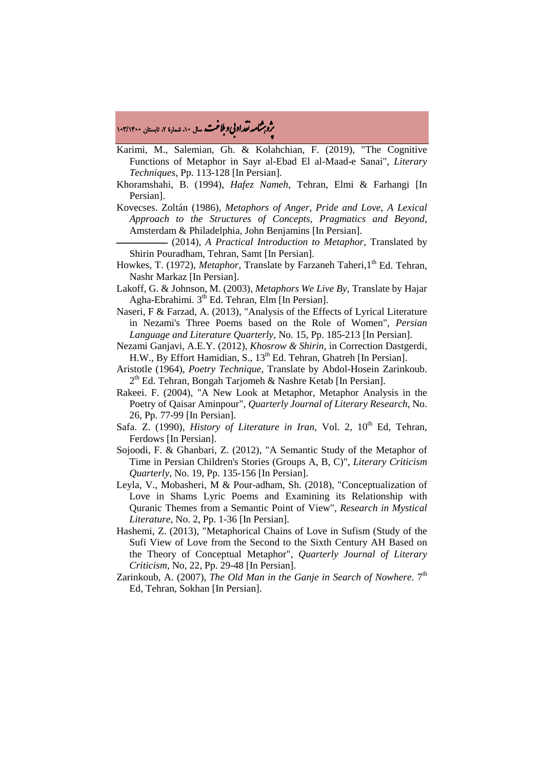# ه مشا**مه تقراد بي و بلاغت.** سال ۱۰ شمارۀ ۲، تابستان ۱۰۳/۱۴۰۰<br>په

Karimi, M., Salemian, Gh. & Kolahchian, F. (2019), "The Cognitive Functions of Metaphor in Sayr al-Ebad El al-Maad-e Sanai", *Literary Techniques*, Pp. 113-128 [In Persian].

- Khoramshahi, B. (1994), *Hafez Nameh*, Tehran, Elmi & Farhangi [In Persian].
- Kovecses. Zoltán (1986), *Metaphors of Anger, Pride and Love*, *A Lexical Approach to the Structures of Concepts, Pragmatics and Beyond*, Amsterdam & Philadelphia, John Benjamins [In Persian].
	- ـ�ـــــــــــــــــــــــ) 2014(, *A Practical Introduction to Metaphor*, Translated by Shirin Pouradham, Tehran, Samt [In Persian].
- Howkes, T. (1972), *Metaphor*, Translate by Farzaneh Taheri, 1<sup>th</sup> Ed. Tehran, Nashr Markaz [In Persian].
- Lakoff, G. & Johnson, M. (2003), *Metaphors We Live By*, Translate by Hajar Agha-Ebrahimi. 3th Ed. Tehran, Elm [In Persian].
- Naseri, F & Farzad, A. (2013), "Analysis of the Effects of Lyrical Literature in Nezami's Three Poems based on the Role of Women", *Persian Language and Literature Quarterly,* No. 15, Pp. 185-213 [In Persian].
- Nezami Ganjavi, A.E.Y. (2012), *Khosrow & Shirin*, in Correction Dastgerdi, H.W., By Effort Hamidian, S., 13<sup>th</sup> Ed. Tehran, Ghatreh [In Persian].
- Aristotle (1964), *Poetry Technique*, Translate by Abdol-Hosein Zarinkoub.  $2<sup>th</sup>$  Ed. Tehran, Bongah Tarjomeh & Nashre Ketab [In Persian].
- Rakeei. F. (2004), "A New Look at Metaphor, Metaphor Analysis in the Poetry of Qaisar Aminpour", *Quarterly Journal of Literary Research*, No. 26, Pp. 77-99 [In Persian].
- Safa. Z. (1990), *History of Literature in Iran*, Vol. 2, 10<sup>th</sup> Ed, Tehran, Ferdows [In Persian].
- Sojoodi, F. & Ghanbari, Z. (2012), "A Semantic Study of the Metaphor of Time in Persian Children's Stories (Groups A, B, C)", *Literary Criticism Quarterly*, No. 19, Pp. 135-156 [In Persian].
- Leyla, V., Mobasheri, M & Pour-adham, Sh. (2018), "Conceptualization of Love in Shams Lyric Poems and Examining its Relationship with Quranic Themes from a Semantic Point of View", *Research in Mystical Literature*, No. 2, Pp. 1-36 [In Persian].
- Hashemi, Z. (2013), "Metaphorical Chains of Love in Sufism (Study of the Sufi View of Love from the Second to the Sixth Century AH Based on the Theory of Conceptual Metaphor", *Quarterly Journal of Literary Criticism,* No, 22, Pp. 29-48 [In Persian].
- Zarinkoub, A. (2007), *The Old Man in the Ganje in Search of Nowhere*. 7<sup>th</sup> Ed, Tehran, Sokhan [In Persian].